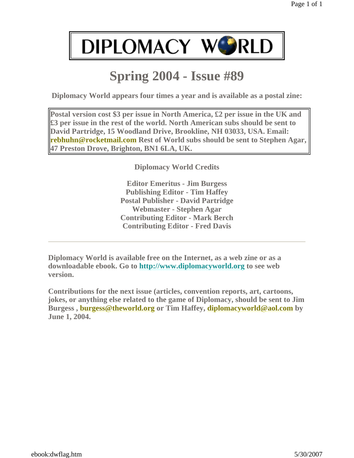## **Spring 2004 - Issue #89**

**Diplomacy World appears four times a year and is available as a postal zine:**

**Postal version cost \$3 per issue in North America, £2 per issue in the UK and £3 per issue in the rest of the world. North American subs should be sent to David Partridge, 15 Woodland Drive, Brookline, NH 03033, USA. Email: rebhuhn@rocketmail.com Rest of World subs should be sent to Stephen Agar, 47 Preston Drove, Brighton, BN1 6LA, UK.**

**Diplomacy World Credits**

**Editor Emeritus - Jim Burgess Publishing Editor - Tim Haffey Postal Publisher - David Partridge Webmaster - Stephen Agar Contributing Editor - Mark Berch Contributing Editor - Fred Davis**

**Diplomacy World is available free on the Internet, as a web zine or as a downloadable ebook. Go to http://www.diplomacyworld.org to see web version.**

**Contributions for the next issue (articles, convention reports, art, cartoons, jokes, or anything else related to the game of Diplomacy, should be sent to Jim Burgess , burgess@theworld.org or Tim Haffey, diplomacyworld@aol.com by June 1, 2004.**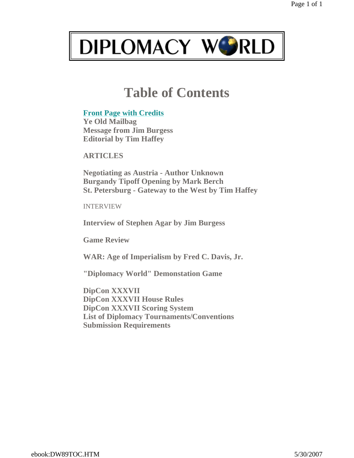

## **Table of Contents**

#### **Front Page with Credits**

**Ye Old Mailbag Message from Jim Burgess Editorial by Tim Haffey**

**ARTICLES**

**Negotiating as Austria - Author Unknown Burgandy Tipoff Opening by Mark Berch St. Petersburg - Gateway to the West by Tim Haffey**

INTERVIEW

**Interview of Stephen Agar by Jim Burgess**

**Game Review**

**WAR: Age of Imperialism by Fred C. Davis, Jr.**

**"Diplomacy World" Demonstation Game**

**DipCon XXXVII DipCon XXXVII House Rules DipCon XXXVII Scoring System List of Diplomacy Tournaments/Conventions Submission Requirements**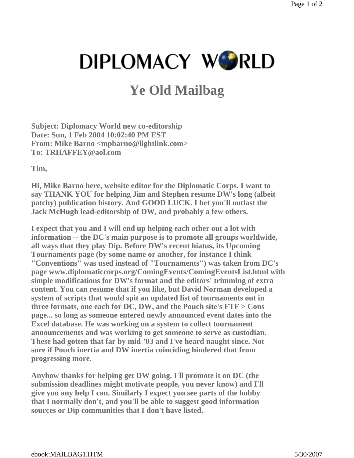## **Ye Old Mailbag**

**Subject: Diplomacy World new co-editorship Date: Sun, 1 Feb 2004 10:02:40 PM EST From: Mike Barno <mpbarno@lightlink.com> To: TRHAFFEY@aol.com**

**Tim,**

**Hi, Mike Barno here, website editor for the Diplomatic Corps. I want to say THANK YOU for helping Jim and Stephen resume DW's long (albeit patchy) publication history. And GOOD LUCK. I bet you'll outlast the Jack McHugh lead-editorship of DW, and probably a few others.**

**I expect that you and I will end up helping each other out a lot with information -- the DC's main purpose is to promote all groups worldwide, all ways that they play Dip. Before DW's recent hiatus, its Upcoming Tournaments page (by some name or another, for instance I think "Conventions" was used instead of "Tournaments") was taken from DC's page www.diplomaticcorps.org/ComingEvents/ComingEventsList.html with simple modifications for DW's format and the editors' trimming of extra content. You can resume that if you like, but David Norman developed a system of scripts that would spit an updated list of tournaments out in three formats, one each for DC, DW, and the Pouch site's FTF > Cons page... so long as someone entered newly announced event dates into the Excel database. He was working on a system to collect tournament announcements and was working to get someone to serve as custodian. These had gotten that far by mid-'03 and I've heard naught since. Not sure if Pouch inertia and DW inertia coinciding hindered that from progressing more.**

**Anyhow thanks for helping get DW going. I'll promote it on DC (the submission deadlines might motivate people, you never know) and I'll give you any help I can. Similarly I expect you see parts of the hobby that I normally don't, and you'll be able to suggest good information sources or Dip communities that I don't have listed.**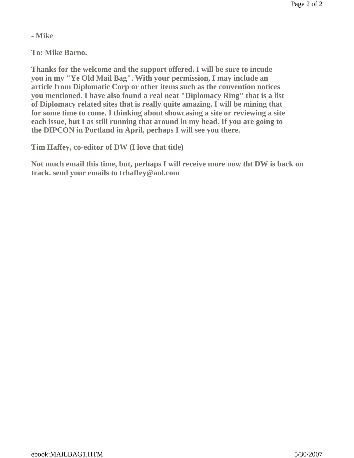**- Mike**

**To: Mike Barno.** 

**Thanks for the welcome and the support offered. I will be sure to incude you in my "Ye Old Mail Bag". With your permission, I may include an article from Diplomatic Corp or other items such as the convention notices you mentioned. I have also found a real neat "Diplomacy Ring" that is a list of Diplomacy related sites that is really quite amazing. I will be mining that for some time to come. I thinking about showcasing a site or reviewing a site each issue, but I as still running that around in my head. If you are going to the DIPCON in Portland in April, perhaps I will see you there.**

**Tim Haffey, co-editor of DW (I love that title)**

**Not much email this time, but, perhaps I will receive more now tht DW is back on track. send your emails to trhaffey@aol.com**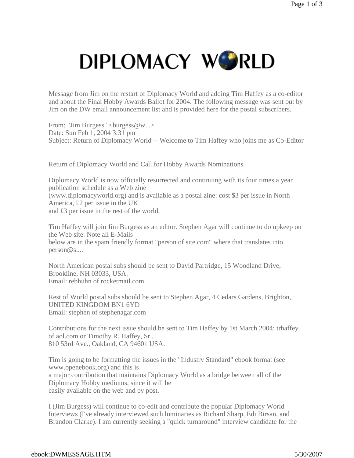Message from Jim on the restart of Diplomacy World and adding Tim Haffey as a co-editor and about the Final Hobby Awards Ballot for 2004. The following message was sent out by Jim on the DW email announcement list and is provided here for the postal subscribers.

From: "Jim Burgess" <br/>burgess@w...> Date: Sun Feb 1, 2004 3:31 pm Subject: Return of Diplomacy World -- Welcome to Tim Haffey who joins me as Co-Editor

Return of Diplomacy World and Call for Hobby Awards Nominations

Diplomacy World is now officially resurrected and continuing with its four times a year publication schedule as a Web zine (www.diplomacyworld.org) and is available as a postal zine: cost \$3 per issue in North America, £2 per issue in the UK and £3 per issue in the rest of the world.

Tim Haffey will join Jim Burgess as an editor. Stephen Agar will continue to do upkeep on the Web site. Note all E-Mails below are in the spam friendly format "person of site.com" where that translates into person@s....

North American postal subs should be sent to David Partridge, 15 Woodland Drive, Brookline, NH 03033, USA. Email: rebhuhn of rocketmail.com

Rest of World postal subs should be sent to Stephen Agar, 4 Cedars Gardens, Brighton, UNITED KINGDOM BN1 6YD Email: stephen of stephenagar.com

Contributions for the next issue should be sent to Tim Haffey by 1st March 2004: trhaffey of aol.com or Timothy R. Haffey, Sr., 810 53rd Ave., Oakland, CA 94601 USA.

Tim is going to be formatting the issues in the "Industry Standard" ebook format (see www.openebook.org) and this is a major contribution that maintains Diplomacy World as a bridge between all of the Diplomacy Hobby mediums, since it will be easily available on the web and by post.

I (Jim Burgess) will continue to co-edit and contribute the popular Diplomacy World Interviews (I've already interviewed such luminaries as Richard Sharp, Edi Birsan, and Brandon Clarke). I am currently seeking a "quick turnaround" interview candidate for the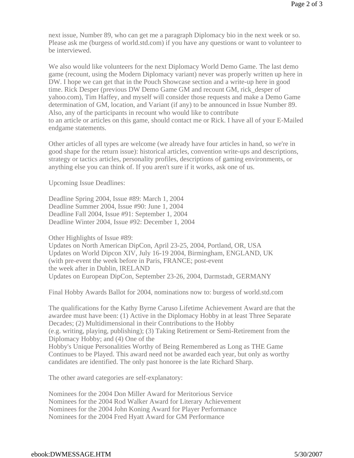next issue, Number 89, who can get me a paragraph Diplomacy bio in the next week or so. Please ask me (burgess of world.std.com) if you have any questions or want to volunteer to be interviewed.

We also would like volunteers for the next Diplomacy World Demo Game. The last demo game (recount, using the Modern Diplomacy variant) never was properly written up here in DW. I hope we can get that in the Pouch Showcase section and a write-up here in good time. Rick Desper (previous DW Demo Game GM and recount GM, rick\_desper of yahoo.com), Tim Haffey, and myself will consider those requests and make a Demo Game determination of GM, location, and Variant (if any) to be announced in Issue Number 89. Also, any of the participants in recount who would like to contribute to an article or articles on this game, should contact me or Rick. I have all of your E-Mailed endgame statements.

Other articles of all types are welcome (we already have four articles in hand, so we're in good shape for the return issue): historical articles, convention write-ups and descriptions, strategy or tactics articles, personality profiles, descriptions of gaming environments, or anything else you can think of. If you aren't sure if it works, ask one of us.

Upcoming Issue Deadlines:

Deadline Spring 2004, Issue #89: March 1, 2004 Deadline Summer 2004, Issue #90: June 1, 2004 Deadline Fall 2004, Issue #91: September 1, 2004 Deadline Winter 2004, Issue #92: December 1, 2004

Other Highlights of Issue #89: Updates on North American DipCon, April 23-25, 2004, Portland, OR, USA Updates on World Dipcon XIV, July 16-19 2004, Birmingham, ENGLAND, UK (with pre-event the week before in Paris, FRANCE; post-event the week after in Dublin, IRELAND Updates on European DipCon, September 23-26, 2004, Darmstadt, GERMANY

Final Hobby Awards Ballot for 2004, nominations now to: burgess of world.std.com

The qualifications for the Kathy Byrne Caruso Lifetime Achievement Award are that the awardee must have been: (1) Active in the Diplomacy Hobby in at least Three Separate Decades; (2) Multidimensional in their Contributions to the Hobby (e.g. writing, playing, publishing); (3) Taking Retirement or Semi-Retirement from the Diplomacy Hobby; and (4) One of the Hobby's Unique Personalities Worthy of Being Remembered as Long as THE Game

Continues to be Played. This award need not be awarded each year, but only as worthy candidates are identified. The only past honoree is the late Richard Sharp.

The other award categories are self-explanatory:

Nominees for the 2004 Don Miller Award for Meritorious Service Nominees for the 2004 Rod Walker Award for Literary Achievement Nominees for the 2004 John Koning Award for Player Performance Nominees for the 2004 Fred Hyatt Award for GM Performance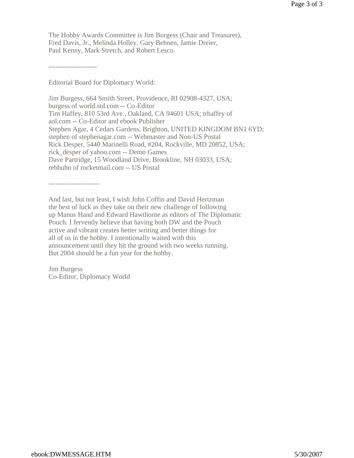The Hobby Awards Committee is Jim Burgess (Chair and Treasurer), Fred Davis, Jr., Melinda Holley, Gary Behnen, Jamie Dreier, Paul Kenny, Mark Stretch, and Robert Lesco.

---------------------

Editorial Board for Diplomacy World:

Jim Burgess, 664 Smith Street, Providence, RI 02908-4327, USA; burgess of world.std.com -- Co-Editor Tim Haffey, 810 53rd Ave., Oakland, CA 94601 USA; trhaffey of aol.com -- Co-Editor and ebook Publisher Stephen Agar, 4 Cedars Gardens, Brighton, UNITED KINGDOM BN1 6YD; stephen of stephenagar.com -- Webmaster and Non-US Postal Rick Desper, 5440 Marinelli Road, #204, Rockville, MD 20852, USA; rick\_desper of yahoo.com -- Demo Games Dave Partridge, 15 Woodland Drive, Brookline, NH 03033, USA; rebhuhn of rocketmail.com -- US Postal

----------------------

And last, but not least, I wish John Coffin and David Hertzman the best of luck as they take on their new challenge of following up Manus Hand and Edward Hawthorne as editors of The Diplomatic Pouch. I fervently believe that having both DW and the Pouch active and vibrant creates better writing and better things for all of us in the hobby. I intentionally waited with this announcement until they hit the ground with two weeks running. But 2004 should be a fun year for the hobby.

Jim Burgess Co-Editor, Diplomacy World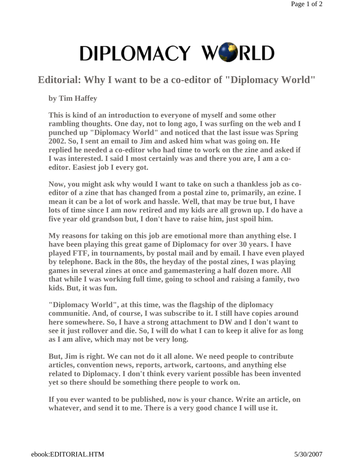## **Editorial: Why I want to be a co-editor of "Diplomacy World"**

**by Tim Haffey**

**This is kind of an introduction to everyone of myself and some other rambling thoughts. One day, not to long ago, I was surfing on the web and I punched up "Diplomacy World" and noticed that the last issue was Spring 2002. So, I sent an email to Jim and asked him what was going on. He replied he needed a co-editor who had time to work on the zine and asked if I was interested. I said I most certainly was and there you are, I am a coeditor. Easiest job I every got.**

**Now, you might ask why would I want to take on such a thankless job as coeditor of a zine that has changed from a postal zine to, primarily, an ezine. I mean it can be a lot of work and hassle. Well, that may be true but, I have lots of time since I am now retired and my kids are all grown up. I do have a five year old grandson but, I don't have to raise him, just spoil him.**

**My reasons for taking on this job are emotional more than anything else. I have been playing this great game of Diplomacy for over 30 years. I have played FTF, in tournaments, by postal mail and by email. I have even played by telephone. Back in the 80s, the heyday of the postal zines, I was playing games in several zines at once and gamemastering a half dozen more. All that while I was working full time, going to school and raising a family, two kids. But, it was fun.**

**"Diplomacy World", at this time, was the flagship of the diplomacy communitie. And, of course, I was subscribe to it. I still have copies around here somewhere. So, I have a strong attachment to DW and I don't want to see it just rollover and die. So, I will do what I can to keep it alive for as long as I am alive, which may not be very long.**

**But, Jim is right. We can not do it all alone. We need people to contribute articles, convention news, reports, artwork, cartoons, and anything else related to Diplomacy. I don't think every varient possible has been invented yet so there should be something there people to work on.**

**If you ever wanted to be published, now is your chance. Write an article, on whatever, and send it to me. There is a very good chance I will use it.**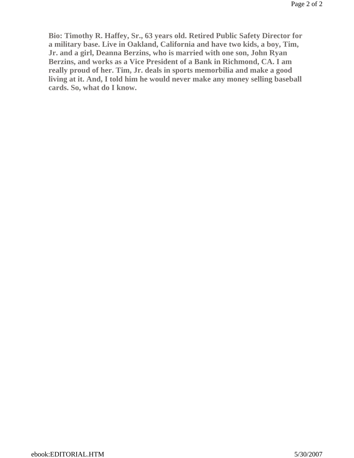**Bio: Timothy R. Haffey, Sr., 63 years old. Retired Public Safety Director for a military base. Live in Oakland, California and have two kids, a boy, Tim, Jr. and a girl, Deanna Berzins, who is married with one son, John Ryan Berzins, and works as a Vice President of a Bank in Richmond, CA. I am really proud of her. Tim, Jr. deals in sports memorbilia and make a good living at it. And, I told him he would never make any money selling baseball cards. So, what do I know.**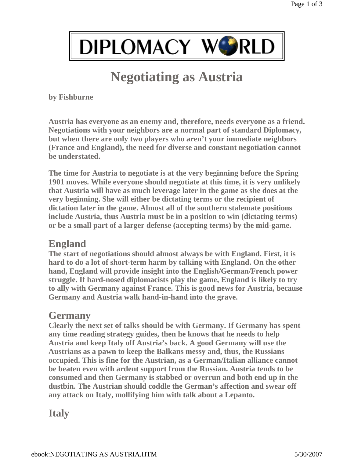

## **Negotiating as Austria**

**by Fishburne**

**Austria has everyone as an enemy and, therefore, needs everyone as a friend. Negotiations with your neighbors are a normal part of standard Diplomacy, but when there are only two players who aren't your immediate neighbors (France and England), the need for diverse and constant negotiation cannot be understated.**

**The time for Austria to negotiate is at the very beginning before the Spring 1901 moves. While everyone should negotiate at this time, it is very unlikely that Austria will have as much leverage later in the game as she does at the very beginning. She will either be dictating terms or the recipient of dictation later in the game. Almost all of the southern stalemate positions include Austria, thus Austria must be in a position to win (dictating terms) or be a small part of a larger defense (accepting terms) by the mid-game.**

### **England**

**The start of negotiations should almost always be with England. First, it is hard to do a lot of short-term harm by talking with England. On the other hand, England will provide insight into the English/German/French power struggle. If hard-nosed diplomacists play the game, England is likely to try to ally with Germany against France. This is good news for Austria, because Germany and Austria walk hand-in-hand into the grave.**

### **Germany**

**Clearly the next set of talks should be with Germany. If Germany has spent any time reading strategy guides, then he knows that he needs to help Austria and keep Italy off Austria's back. A good Germany will use the Austrians as a pawn to keep the Balkans messy and, thus, the Russians occupied. This is fine for the Austrian, as a German/Italian alliance cannot be beaten even with ardent support from the Russian. Austria tends to be consumed and then Germany is stabbed or overrun and both end up in the dustbin. The Austrian should coddle the German's affection and swear off any attack on Italy, mollifying him with talk about a Lepanto.**

## **Italy**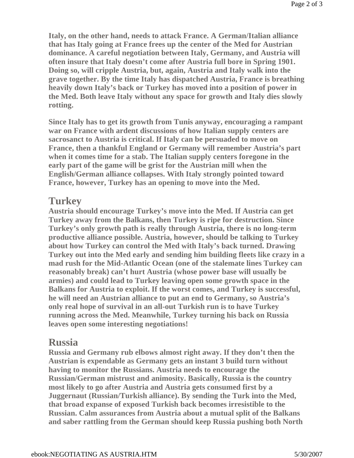**Italy, on the other hand, needs to attack France. A German/Italian alliance that has Italy going at France frees up the center of the Med for Austrian dominance. A careful negotiation between Italy, Germany, and Austria will often insure that Italy doesn't come after Austria full bore in Spring 1901. Doing so, will cripple Austria, but, again, Austria and Italy walk into the grave together. By the time Italy has dispatched Austria, France is breathing heavily down Italy's back or Turkey has moved into a position of power in the Med. Both leave Italy without any space for growth and Italy dies slowly rotting.**

**Since Italy has to get its growth from Tunis anyway, encouraging a rampant war on France with ardent discussions of how Italian supply centers are sacrosanct to Austria is critical. If Italy can be persuaded to move on France, then a thankful England or Germany will remember Austria's part when it comes time for a stab. The Italian supply centers foregone in the early part of the game will be grist for the Austrian mill when the English/German alliance collapses. With Italy strongly pointed toward France, however, Turkey has an opening to move into the Med.**

### **Turkey**

**Austria should encourage Turkey's move into the Med. If Austria can get Turkey away from the Balkans, then Turkey is ripe for destruction. Since Turkey's only growth path is really through Austria, there is no long-term productive alliance possible. Austria, however, should be talking to Turkey about how Turkey can control the Med with Italy's back turned. Drawing Turkey out into the Med early and sending him building fleets like crazy in a mad rush for the Mid-Atlantic Ocean (one of the stalemate lines Turkey can reasonably break) can't hurt Austria (whose power base will usually be armies) and could lead to Turkey leaving open some growth space in the Balkans for Austria to exploit. If the worst comes, and Turkey is successful, he will need an Austrian alliance to put an end to Germany, so Austria's only real hope of survival in an all-out Turkish run is to have Turkey running across the Med. Meanwhile, Turkey turning his back on Russia leaves open some interesting negotiations!**

### **Russia**

**Russia and Germany rub elbows almost right away. If they don't then the Austrian is expendable as Germany gets an instant 3 build turn without having to monitor the Russians. Austria needs to encourage the Russian/German mistrust and animosity. Basically, Russia is the country most likely to go after Austria and Austria gets consumed first by a Juggernaut (Russian/Turkish alliance). By sending the Turk into the Med, that broad expanse of exposed Turkish back becomes irresistible to the Russian. Calm assurances from Austria about a mutual split of the Balkans and saber rattling from the German should keep Russia pushing both North**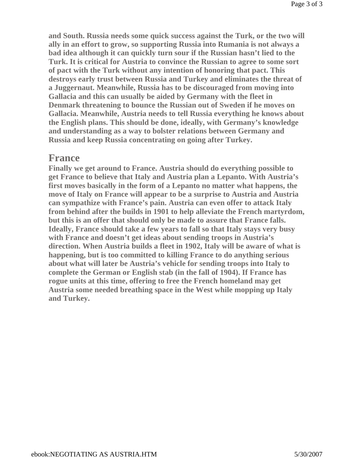**and South. Russia needs some quick success against the Turk, or the two will ally in an effort to grow, so supporting Russia into Rumania is not always a bad idea although it can quickly turn sour if the Russian hasn't lied to the Turk. It is critical for Austria to convince the Russian to agree to some sort of pact with the Turk without any intention of honoring that pact. This destroys early trust between Russia and Turkey and eliminates the threat of a Juggernaut. Meanwhile, Russia has to be discouraged from moving into Gallacia and this can usually be aided by Germany with the fleet in Denmark threatening to bounce the Russian out of Sweden if he moves on Gallacia. Meanwhile, Austria needs to tell Russia everything he knows about the English plans. This should be done, ideally, with Germany's knowledge and understanding as a way to bolster relations between Germany and Russia and keep Russia concentrating on going after Turkey.**

### **France**

**Finally we get around to France. Austria should do everything possible to get France to believe that Italy and Austria plan a Lepanto. With Austria's first moves basically in the form of a Lepanto no matter what happens, the move of Italy on France will appear to be a surprise to Austria and Austria can sympathize with France's pain. Austria can even offer to attack Italy from behind after the builds in 1901 to help alleviate the French martyrdom, but this is an offer that should only be made to assure that France falls. Ideally, France should take a few years to fall so that Italy stays very busy with France and doesn't get ideas about sending troops in Austria's direction. When Austria builds a fleet in 1902, Italy will be aware of what is happening, but is too committed to killing France to do anything serious about what will later be Austria's vehicle for sending troops into Italy to complete the German or English stab (in the fall of 1904). If France has rogue units at this time, offering to free the French homeland may get Austria some needed breathing space in the West while mopping up Italy and Turkey.**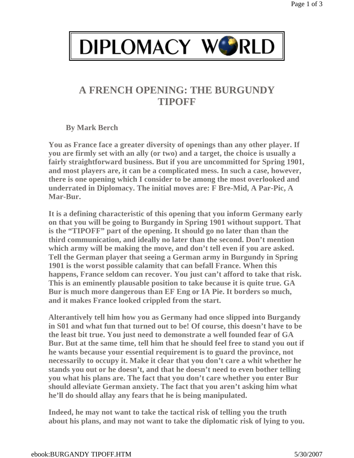## **A FRENCH OPENING: THE BURGUNDY TIPOFF**

**By Mark Berch**

**You as France face a greater diversity of openings than any other player. If you are firmly set with an ally (or two) and a target, the choice is usually a fairly straightforward business. But if you are uncommitted for Spring 1901, and most players are, it can be a complicated mess. In such a case, however, there is one opening which I consider to be among the most overlooked and underrated in Diplomacy. The initial moves are: F Bre-Mid, A Par-Pic, A Mar-Bur.**

**It is a defining characteristic of this opening that you inform Germany early on that you will be going to Burgandy in Spring 1901 without support. That is the "TIPOFF" part of the opening. It should go no later than than the third communication, and ideally no later than the second. Don't mention which army will be making the move, and don't tell even if you are asked. Tell the German player that seeing a German army in Burgundy in Spring 1901 is the worst possible calamity that can befall France. When this happens, France seldom can recover. You just can't afford to take that risk. This is an eminently plausable position to take because it is quite true. GA Bur is much more dangerous than EF Eng or IA Pie. It borders so much, and it makes France looked crippled from the start.**

**Alterantively tell him how you as Germany had once slipped into Burgandy in S01 and what fun that turned out to be! Of course, this doesn't have to be the least bit true. You just need to demonstrate a well founded fear of GA Bur. But at the same time, tell him that he should feel free to stand you out if he wants because your essential requirement is to guard the province, not necessarily to occupy it. Make it clear that you don't care a whit whether he stands you out or he doesn't, and that he doesn't need to even bother telling you what his plans are. The fact that you don't care whether you enter Bur should alleviate German anxiety. The fact that you aren't asking him what he'll do should allay any fears that he is being manipulated.** 

**Indeed, he may not want to take the tactical risk of telling you the truth about his plans, and may not want to take the diplomatic risk of lying to you.**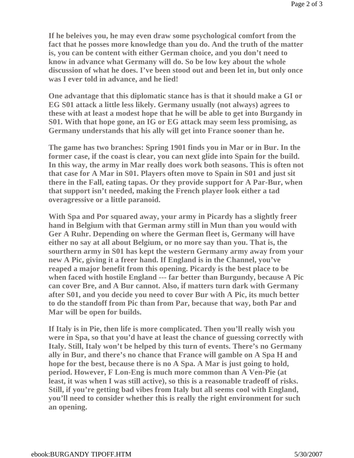**If he beleives you, he may even draw some psychological comfort from the fact that he posses more knowledge than you do. And the truth of the matter is, you can be content with either German choice, and you don't need to know in advance what Germany will do. So be low key about the whole discussion of what he does. I've been stood out and been let in, but only once was I ever told in advance, and he lied!** 

**One advantage that this diplomatic stance has is that it should make a GI or EG S01 attack a little less likely. Germany usually (not always) agrees to these with at least a modest hope that he will be able to get into Burgandy in S01. With that hope gone, an IG or EG attack may seem less promising, as Germany understands that his ally will get into France sooner than he.**

**The game has two branches: Spring 1901 finds you in Mar or in Bur. In the former case, if the coast is clear, you can next glide into Spain for the build. In this way, the army in Mar really does work both seasons. This is often not that case for A Mar in S01. Players often move to Spain in S01 and just sit there in the Fall, eating tapas. Or they provide support for A Par-Bur, when that support isn't needed, making the French player look either a tad overagressive or a little paranoid.** 

**With Spa and Por squared away, your army in Picardy has a slightly freer hand in Belgium with that German army still in Mun than you would with Ger A Ruhr. Depending on where the German fleet is, Germany will have either no say at all about Belgium, or no more say than you. That is, the sourthern army in S01 has kept the western Germany army away from your new A Pic, giving it a freer hand. If England is in the Channel, you've reaped a major benefit from this opening. Picardy is the best place to be when faced with hostile England --- far better than Burgundy, because A Pic can cover Bre, and A Bur cannot. Also, if matters turn dark with Germany after S01, and you decide you need to cover Bur with A Pic, its much better to do the standoff from Pic than from Par, because that way, both Par and Mar will be open for builds.** 

**If Italy is in Pie, then life is more complicated. Then you'll really wish you were in Spa, so that you'd have at least the chance of guessing correctly with Italy. Still, Italy won't be helped by this turn of events. There's no Germany ally in Bur, and there's no chance that France will gamble on A Spa H and hope for the best, because there is no A Spa. A Mar is just going to hold, period. However, F Lon-Eng is much more common than A Ven-Pie (at least, it was when I was still active), so this is a reasonable tradeoff of risks. Still, if you're getting bad vibes from Italy but all seems cool with England, you'll need to consider whether this is really the right environment for such an opening.**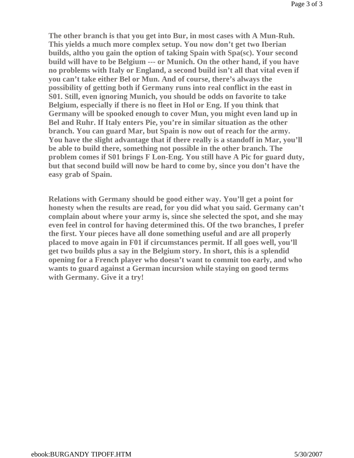**The other branch is that you get into Bur, in most cases with A Mun-Ruh. This yields a much more complex setup. You now don't get two Iberian builds, altho you gain the option of taking Spain with Spa(sc). Your second build will have to be Belgium --- or Munich. On the other hand, if you have no problems with Italy or England, a second build isn't all that vital even if you can't take either Bel or Mun. And of course, there's always the possibility of getting both if Germany runs into real conflict in the east in S01. Still, even ignoring Munich, you should be odds on favorite to take Belgium, especially if there is no fleet in Hol or Eng. If you think that Germany will be spooked enough to cover Mun, you might even land up in Bel and Ruhr. If Italy enters Pie, you're in similar situation as the other branch. You can guard Mar, but Spain is now out of reach for the army. You have the slight advantage that if there really is a standoff in Mar, you'll be able to build there, something not possible in the other branch. The problem comes if S01 brings F Lon-Eng. You still have A Pic for guard duty, but that second build will now be hard to come by, since you don't have the easy grab of Spain.**

**Relations with Germany should be good either way. You'll get a point for honesty when the results are read, for you did what you said. Germany can't complain about where your army is, since she selected the spot, and she may even feel in control for having determined this. Of the two branches, I prefer the first. Your pieces have all done something useful and are all properly placed to move again in F01 if circumstances permit. If all goes well, you'll get two builds plus a say in the Belgium story. In short, this is a splendid opening for a French player who doesn't want to commit too early, and who wants to guard against a German incursion while staying on good terms with Germany. Give it a try!**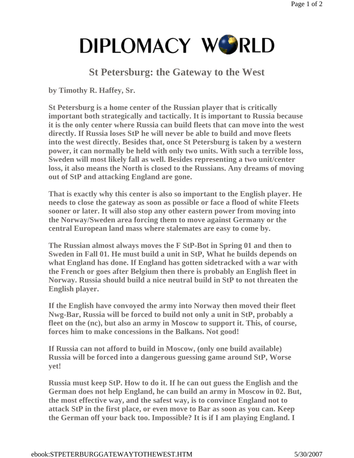## **St Petersburg: the Gateway to the West**

**by Timothy R. Haffey, Sr.**

**St Petersburg is a home center of the Russian player that is critically important both strategically and tactically. It is important to Russia because it is the only center where Russia can build fleets that can move into the west directly. If Russia loses StP he will never be able to build and move fleets into the west directly. Besides that, once St Petersburg is taken by a western power, it can normally be held with only two units. With such a terrible loss, Sweden will most likely fall as well. Besides representing a two unit/center loss, it also means the North is closed to the Russians. Any dreams of moving out of StP and attacking England are gone.** 

**That is exactly why this center is also so important to the English player. He needs to close the gateway as soon as possible or face a flood of white Fleets sooner or later. It will also stop any other eastern power from moving into the Norway/Sweden area forcing them to move against Germany or the central European land mass where stalemates are easy to come by.**

**The Russian almost always moves the F StP-Bot in Spring 01 and then to Sweden in Fall 01. He must build a unit in StP, What he builds depends on what England has done. If England has gotten sidetracked with a war with the French or goes after Belgium then there is probably an English fleet in Norway. Russia should build a nice neutral build in StP to not threaten the English player.** 

**If the English have convoyed the army into Norway then moved their fleet Nwg-Bar, Russia will be forced to build not only a unit in StP, probably a fleet on the (nc), but also an army in Moscow to support it. This, of course, forces him to make concessions in the Balkans. Not good!** 

**If Russia can not afford to build in Moscow, (only one build available) Russia will be forced into a dangerous guessing game around StP, Worse yet!**

**Russia must keep StP. How to do it. If he can out guess the English and the German does not help England, he can build an army in Moscow in 02. But, the most effective way, and the safest way, is to convince England not to attack StP in the first place, or even move to Bar as soon as you can. Keep the German off your back too. Impossible? It is if I am playing England. I**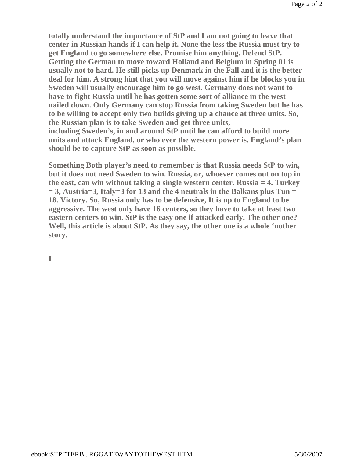**totally understand the importance of StP and I am not going to leave that center in Russian hands if I can help it. None the less the Russia must try to get England to go somewhere else. Promise him anything. Defend StP. Getting the German to move toward Holland and Belgium in Spring 01 is usually not to hard. He still picks up Denmark in the Fall and it is the better deal for him. A strong hint that you will move against him if he blocks you in Sweden will usually encourage him to go west. Germany does not want to have to fight Russia until he has gotten some sort of alliance in the west nailed down. Only Germany can stop Russia from taking Sweden but he has to be willing to accept only two builds giving up a chance at three units. So, the Russian plan is to take Sweden and get three units, including Sweden's, in and around StP until he can afford to build more units and attack England, or who ever the western power is. England's plan should be to capture StP as soon as possible.** 

**Something Both player's need to remember is that Russia needs StP to win, but it does not need Sweden to win. Russia, or, whoever comes out on top in the east, can win without taking a single western center. Russia = 4. Turkey = 3, Austria=3, Italy=3 for 13 and the 4 neutrals in the Balkans plus Tun = 18. Victory. So, Russia only has to be defensive, It is up to England to be aggressive. The west only have 16 centers, so they have to take at least two eastern centers to win. StP is the easy one if attacked early. The other one? Well, this article is about StP. As they say, the other one is a whole 'nother story.** 

**I**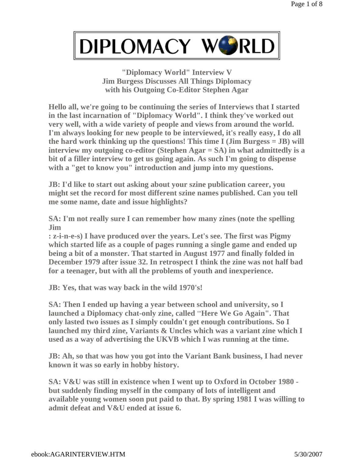**"Diplomacy World" Interview V Jim Burgess Discusses All Things Diplomacy with his Outgoing Co-Editor Stephen Agar**

**Hello all, we're going to be continuing the series of Interviews that I started in the last incarnation of "Diplomacy World". I think they've worked out very well, with a wide variety of people and views from around the world. I'm always looking for new people to be interviewed, it's really easy, I do all the hard work thinking up the questions! This time I (Jim Burgess = JB) will interview my outgoing co-editor (Stephen Agar = SA) in what admittedly is a bit of a filler interview to get us going again. As such I'm going to dispense with a "get to know you" introduction and jump into my questions.**

**JB: I'd like to start out asking about your szine publication career, you might set the record for most different szine names published. Can you tell me some name, date and issue highlights?**

**SA: I'm not really sure I can remember how many zines (note the spelling Jim**

**: z-i-n-e-s) I have produced over the years. Let's see. The first was Pigmy which started life as a couple of pages running a single game and ended up being a bit of a monster. That started in August 1977 and finally folded in December 1979 after issue 32. In retrospect I think the zine was not half bad for a teenager, but with all the problems of youth and inexperience.**

**JB: Yes, that was way back in the wild 1970's!**

**SA: Then I ended up having a year between school and university, so I launched a Diplomacy chat-only zine, called** "'**Here We Go Again". That only lasted two issues as I simply couldn't get enough contributions. So I launched my third zine, Variants & Uncles which was a variant zine which I used as a way of advertising the UKVB which I was running at the time.**

**JB: Ah, so that was how you got into the Variant Bank business, I had never known it was so early in hobby history.** 

**SA: V&U was still in existence when I went up to Oxford in October 1980 but suddenly finding myself in the company of lots of intelligent and available young women soon put paid to that. By spring 1981 I was willing to admit defeat and V&U ended at issue 6.**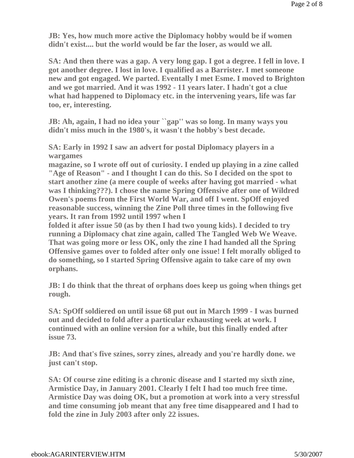**JB: Yes, how much more active the Diplomacy hobby would be if women didn't exist.... but the world would be far the loser, as would we all.**

**SA: And then there was a gap. A very long gap. I got a degree. I fell in love. I got another degree. I lost in love. I qualified as a Barrister. I met someone new and got engaged. We parted. Eventally I met Esme. I moved to Brighton and we got married. And it was 1992 - 11 years later. I hadn't got a clue what had happened to Diplomacy etc. in the intervening years, life was far too, er, interesting.**

**JB: Ah, again, I had no idea your ``gap'' was so long. In many ways you didn't miss much in the 1980's, it wasn't the hobby's best decade.**

**SA: Early in 1992 I saw an advert for postal Diplomacy players in a wargames**

**magazine, so I wrote off out of curiosity. I ended up playing in a zine called "Age of Reason" - and I thought I can do this. So I decided on the spot to start another zine (a mere couple of weeks after having got married - what was I thinking???). I chose the name Spring Offensive after one of Wildred Owen's poems from the First World War, and off I went. SpOff enjoyed reasonable success, winning the Zine Poll three times in the following five years. It ran from 1992 until 1997 when I**

**folded it after issue 50 (as by then I had two young kids). I decided to try running a Diplomacy chat zine again, called The Tangled Web We Weave. That was going more or less OK, only the zine I had handed all the Spring Offensive games over to folded after only one issue! I felt morally obliged to do something, so I started Spring Offensive again to take care of my own orphans.**

**JB: I do think that the threat of orphans does keep us going when things get rough.**

**SA: SpOff soldiered on until issue 68 put out in March 1999 - I was burned out and decided to fold after a particular exhausting week at work. I continued with an online version for a while, but this finally ended after issue 73.**

**JB: And that's five szines, sorry zines, already and you're hardly done. we just can't stop.**

**SA: Of course zine editing is a chronic disease and I started my sixth zine, Armistice Day, in January 2001. Clearly I felt I had too much free time. Armistice Day was doing OK, but a promotion at work into a very stressful and time consuming job meant that any free time disappeared and I had to fold the zine in July 2003 after only 22 issues.**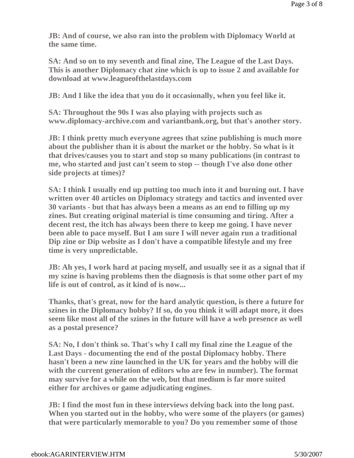**JB: And of course, we also ran into the problem with Diplomacy World at the same time.**

**SA: And so on to my seventh and final zine, The League of the Last Days. This is another Diplomacy chat zine which is up to issue 2 and available for download at www.leagueofthelastdays.com**

**JB: And I like the idea that you do it occasionally, when you feel like it.**

**SA: Throughout the 90s I was also playing with projects such as www.diplomacy-archive.com and variantbank.org, but that's another story.**

**JB: I think pretty much everyone agrees that szine publishing is much more about the publisher than it is about the market or the hobby. So what is it that drives/causes you to start and stop so many publications (in contrast to me, who started and just can't seem to stop -- though I've also done other side projects at times)?**

**SA: I think I usually end up putting too much into it and burning out. I have written over 40 articles on Diplomacy strategy and tactics and invented over 30 variants - but that has always been a means as an end to filling up my zines. But creating original material is time consuming and tiring. After a decent rest, the itch has always been there to keep me going. I have never been able to pace myself. But I am sure I will never again run a traditional Dip zine or Dip website as I don't have a compatible lifestyle and my free time is very unpredictable.**

**JB:** Ah yes, I work hard at pacing myself, and usually see it as a signal that if **my szine is having problems then the diagnosis is that some other part of my life is out of control, as it kind of is now...**

**Thanks, that's great, now for the hard analytic question, is there a future for szines in the Diplomacy hobby? If so, do you think it will adapt more, it does seem like most all of the szines in the future will have a web presence as well as a postal presence?** 

**SA: No, I don't think so. That's why I call my final zine the League of the Last Days - documenting the end of the postal Diplomacy hobby. There hasn't been a new zine launched in the UK for years and the hobby will die with the current generation of editors who are few in number). The format may survive for a while on the web, but that medium is far more suited either for archives or game adjudicating engines.**

**JB: I find the most fun in these interviews delving back into the long past. When you started out in the hobby, who were some of the players (or games) that were particularly memorable to you? Do you remember some of those**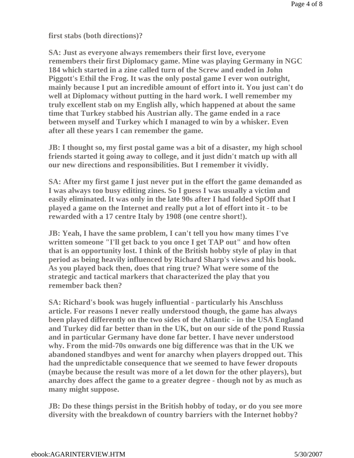**first stabs (both directions)?**

**SA: Just as everyone always remembers their first love, everyone remembers their first Diplomacy game. Mine was playing Germany in NGC 184 which started in a zine called turn of the Screw and ended in John Piggott's Ethil the Frog. It was the only postal game I ever won outright, mainly because I put an incredible amount of effort into it. You just can't do well at Diplomacy without putting in the hard work. I well remember my truly excellent stab on my English ally, which happened at about the same time that Turkey stabbed his Austrian ally. The game ended in a race between myself and Turkey which I managed to win by a whisker. Even after all these years I can remember the game.**

**JB: I thought so, my first postal game was a bit of a disaster, my high school friends started it going away to college, and it just didn't match up with all our new directions and responsibilities. But I remember it vividly.**

**SA: After my first game I just never put in the effort the game demanded as I was always too busy editing zines. So I guess I was usually a victim and easily eliminated. It was only in the late 90s after I had folded SpOff that I played a game on the Internet and really put a lot of effort into it - to be rewarded with a 17 centre Italy by 1908 (one centre short!).**

**JB: Yeah, I have the same problem, I can't tell you how many times I've written someone "I'll get back to you once I get TAP out" and how often that is an opportunity lost. I think of the British hobby style of play in that period as being heavily influenced by Richard Sharp's views and his book. As you played back then, does that ring true? What were some of the strategic and tactical markers that characterized the play that you remember back then?**

**SA: Richard's book was hugely influential - particularly his Anschluss article. For reasons I never really understood though, the game has always been played differently on the two sides of the Atlantic - in the USA England and Turkey did far better than in the UK, but on our side of the pond Russia and in particular Germany have done far better. I have never understood why. From the mid-70s onwards one big difference was that in the UK we abandoned standbyes and went for anarchy when players dropped out. This had the unpredictable consequence that we seemed to have fewer dropouts (maybe because the result was more of a let down for the other players), but anarchy does affect the game to a greater degree - though not by as much as many might suppose.**

**JB: Do these things persist in the British hobby of today, or do you see more diversity with the breakdown of country barriers with the Internet hobby?**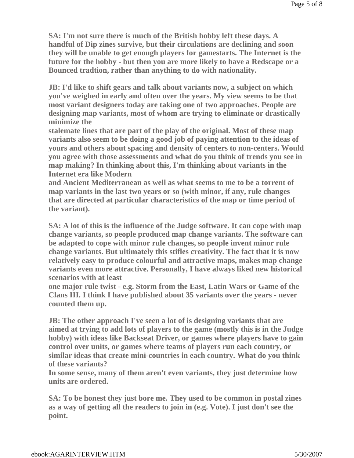**SA: I'm not sure there is much of the British hobby left these days. A handful of Dip zines survive, but their circulations are declining and soon they will be unable to get enough players for gamestarts. The Internet is the future for the hobby - but then you are more likely to have a Redscape or a Bounced tradtion, rather than anything to do with nationality.**

**JB: I'd like to shift gears and talk about variants now, a subject on which you've weighed in early and often over the years. My view seems to be that most variant designers today are taking one of two approaches. People are designing map variants, most of whom are trying to eliminate or drastically minimize the**

**stalemate lines that are part of the play of the original. Most of these map variants also seem to be doing a good job of paying attention to the ideas of yours and others about spacing and density of centers to non-centers. Would you agree with those assessments and what do you think of trends you see in map making? In thinking about this, I'm thinking about variants in the Internet era like Modern**

**and Ancient Mediterranean as well as what seems to me to be a torrent of map variants in the last two years or so (with minor, if any, rule changes that are directed at particular characteristics of the map or time period of the variant).**

**SA: A lot of this is the influence of the Judge software. It can cope with map change variants, so people produced map change variants. The software can be adapted to cope with minor rule changes, so people invent minor rule change variants. But ultimately this stifles creativity. The fact that it is now relatively easy to produce colourful and attractive maps, makes map change variants even more attractive. Personally, I have always liked new historical scenarios with at least**

**one major rule twist - e.g. Storm from the East, Latin Wars or Game of the Clans III. I think I have published about 35 variants over the years - never counted them up.**

**JB: The other approach I've seen a lot of is designing variants that are aimed at trying to add lots of players to the game (mostly this is in the Judge hobby) with ideas like Backseat Driver, or games where players have to gain control over units, or games where teams of players run each country, or similar ideas that create mini-countries in each country. What do you think of these variants?**

**In some sense, many of them aren't even variants, they just determine how units are ordered.**

**SA: To be honest they just bore me. They used to be common in postal zines as a way of getting all the readers to join in (e.g. Vote). I just don't see the point.**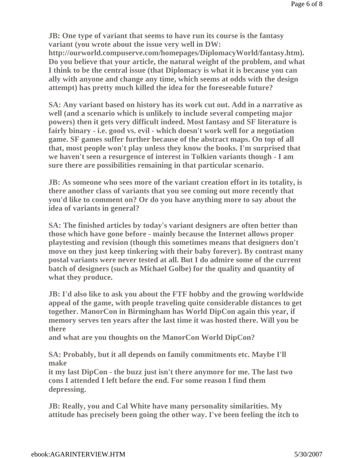**JB: One type of variant that seems to have run its course is the fantasy variant (you wrote about the issue very well in DW:** 

**http://ourworld.compuserve.com/homepages/DiplomacyWorld/fantasy.htm). Do you believe that your article, the natural weight of the problem, and what I think to be the central issue (that Diplomacy is what it is because you can ally with anyone and change any time, which seems at odds with the design attempt) has pretty much killed the idea for the foreseeable future?**

**SA: Any variant based on history has its work cut out. Add in a narrative as well (and a scenario which is unlikely to include several competing major powers) then it gets very difficult indeed. Most fantasy and SF literature is fairly binary - i.e. good vs. evil - which doesn't work well for a negotiation game. SF games suffer further because of the abstract maps. On top of all that, most people won't play unless they know the books. I'm surprised that we haven't seen a resurgence of interest in Tolkien variants though - I am sure there are possibilities remaining in that particular scenario.**

**JB: As someone who sees more of the variant creation effort in its totality, is there another class of variants that you see coming out more recently that you'd like to comment on? Or do you have anything more to say about the idea of variants in general?**

**SA: The finished articles by today's variant designers are often better than those which have gone before - mainly because the Internet allows proper playtesting and revision (though this sometimes means that designers don't move on they just keep tinkering with their baby forever). By contrast many postal variants were never tested at all. But I do admire some of the current batch of designers (such as Michael Golbe) for the quality and quantity of what they produce.**

**JB: I'd also like to ask you about the FTF hobby and the growing worldwide appeal of the game, with people traveling quite considerable distances to get together. ManorCon in Birmingham has World DipCon again this year, if memory serves ten years after the last time it was hosted there. Will you be there**

**and what are you thoughts on the ManorCon World DipCon?**

**SA: Probably, but it all depends on family commitments etc. Maybe I'll make**

**it my last DipCon - the buzz just isn't there anymore for me. The last two cons I attended I left before the end. For some reason I find them depressing.**

**JB: Really, you and Cal White have many personality similarities. My attitude has precisely been going the other way. I've been feeling the itch to**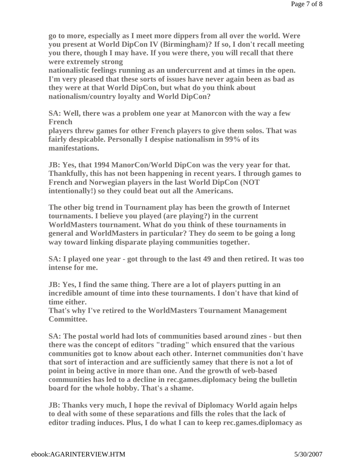**go to more, especially as I meet more dippers from all over the world. Were you present at World DipCon IV (Birmingham)? If so, I don't recall meeting you there, though I may have. If you were there, you will recall that there were extremely strong**

**nationalistic feelings running as an undercurrent and at times in the open. I'm very pleased that these sorts of issues have never again been as bad as they were at that World DipCon, but what do you think about nationalism/country loyalty and World DipCon?**

**SA: Well, there was a problem one year at Manorcon with the way a few French**

**players threw games for other French players to give them solos. That was fairly despicable. Personally I despise nationalism in 99% of its manifestations.**

**JB: Yes, that 1994 ManorCon/World DipCon was the very year for that. Thankfully, this has not been happening in recent years. I through games to French and Norwegian players in the last World DipCon (NOT intentionally!) so they could beat out all the Americans.** 

**The other big trend in Tournament play has been the growth of Internet tournaments. I believe you played (are playing?) in the current WorldMasters tournament. What do you think of these tournaments in general and WorldMasters in particular? They do seem to be going a long way toward linking disparate playing communities together.**

**SA: I played one year - got through to the last 49 and then retired. It was too intense for me.** 

**JB: Yes, I find the same thing. There are a lot of players putting in an incredible amount of time into these tournaments. I don't have that kind of time either.**

**That's why I've retired to the WorldMasters Tournament Management Committee.**

**SA: The postal world had lots of communities based around zines - but then there was the concept of editors "trading" which ensured that the various communities got to know about each other. Internet communities don't have that sort of interaction and are sufficiently samey that there is not a lot of point in being active in more than one. And the growth of web-based communities has led to a decline in rec.games.diplomacy being the bulletin board for the whole hobby. That's a shame.**

**JB: Thanks very much, I hope the revival of Diplomacy World again helps to deal with some of these separations and fills the roles that the lack of editor trading induces. Plus, I do what I can to keep rec.games.diplomacy as**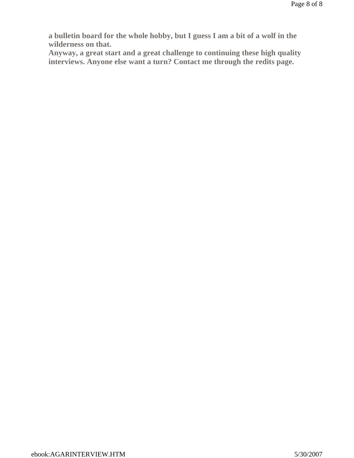**a bulletin board for the whole hobby, but I guess I am a bit of a wolf in the wilderness on that.** 

**Anyway, a great start and a great challenge to continuing these high quality interviews. Anyone else want a turn? Contact me through the redits page.**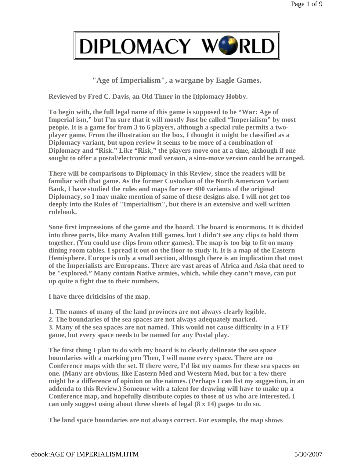**"Age of Imperialism", a wargane by Eagle Games.**

**Reviewed by Fred C. Davis, an Old Timer in the l)iplomacy Hobby.** 

**To begin with, the full legal name of this game is supposed to be "War: Age of Imperial ism," but I'm sure that it will mostly Just be called "Imperialism" by most peopie. It is a game for from 3 to 6 players, although a special rule permits a twoplayer game. From the illustration on the box, I thought it might be classified as a Diplomacy variant, but upon review it seems to be more of a combination of Diplomacy and "Risk." Like "Risk," the players move one at a time, although if one sought to offer a postal/electronic mail version, a sino-move version could be arranged.** 

**There will be comparisons to Diplomacy in this Review, since the readers will be familiar with that game. As the former Custodian of the North American Variant Bank, I have studied the rules and maps for over 400 variants of the original Diplomacy, so I may make mention of same of these designs also. I will not get too deeply into the Rules of "Imperialiism", but there is an extensive and well written rnlebook.** 

**Sone first impressions of the game and the board. The board is enormous. It is divided into three parts, like many Avalon Hill games, but I didn't see any clips to hold them together. (You could use clips from other games). The map is too big to fit on many dining room tables. I spread it out on the floor to study it. It is a map of the Eastern Hemisphere. Europe is only a small section, although there is an implication that most of the Imperialists are Europeans. There are vast areas of Africa and Asia that need to be "explored." Many contain Native armies, which, while they cann't move, can put up quite a fight due to their numbers.** 

**I have three driticisins of the map.** 

**1. The names of many of the land provinces are not always clearly legible.** 

**2. The boundaries of the sea spaces are not always adequately marked.** 

**3. Many of the sea spaces are not named. This would not cause difficulty in a FTF game, but every space needs to be named for any Postal play.** 

**The first thing I plan to do with my board is to clearly delineate the sea space boundaries with a marking pen Then, I will name every space. There are no Conference maps with the set. If there were, I'd list my names for these sea spaces on one. (Many are obvious, like Eastern Med and Western Mod, but for a few there might be a difference of opinion on the naimes. (Perhaps I can list my suggestion, in an addenda to this Review.) Someone with a talent for drawing will have to make up a Conference map, and hopefully distribute copies to those of us who are interested. I can only suggest using about three sheets of legal (8 x 14) pages to do so.** 

**The land space boundaries are not always correct. For example, the map shows**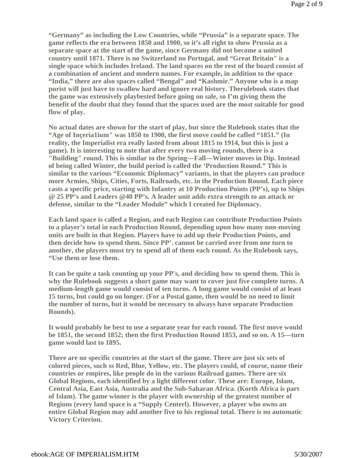**"Germany" as including the Low Countries, while "Prussia" is a separate space. The game reflects the era between 1850 and 1900, so it's all right to show Prussia as a separate space at the start of the game, since Germany did not become a united country until 1871. There is no Switzerland no Portugal, and "Great Britain" is a single space which includes Ireland. The land spaces on the rest of the board consist of a combination of ancient and modern names. For example, in addition to the space "India," there are also spaces called "Bengal" and "Kashmir." Anyone who is a map purist will just have to swallow hard and ignore real history. Therulebook states that the game was extensively playbested before going on sale, so I'm giving them the benefit of the doubt that they found that the spaces used are the most suitable for good flow of play.** 

**No actual dates are shown for the start of play, but since the Rulebook states that the "Age of Inçeria1ium" was 1850 to 1900, the first move could be cafled "1851." (In reality, the Imperialist era really lasted from about 1815 to 1914, but this is just a game). It is interesting to note that after every two moving rounds, there is a "Building" round. This is similar to the Spring—Fall—Winter moves in Dip. Instead of being called Winter, the build period is called the 'Production Round." This is similar to the various "Economic Diplomacy" variants, in that the players can produce more Armies, Ships, Cities, Forts, Railroads, etc. in the Production Round. Each piece casts a specific price, starting with Infantry at 10 Production Points (PP's), up to Ships @ 25 PP's and Leaders @40 PP's. A leader unit adds extra strength to an attack or defense, similar to the "Leader Module" which I created for Diplomacy.** 

**Each land space is called a Region, and each Region can contribute Production Points to a player's total in each Production Round, depending upon how many non-moving units are built in that Region. Players have to add up their Production Points, and then decide how to spend them. Since PP'. cannot be carried over from one turn to another, the players must try to spend all of them each round. As the Rulebook says, "Use them or lose them.** 

**It can be quite a task counting up your PP's, and deciding how to spend them. This is why the Rulebook suggests a short game may want to cover just five complete turns. A medium-length game would consist of ten turns. A long game would consist of at least 15 turns, but could go on longer. (For a Postal game, then would be no need to limit the number of turns, but it would be necessary to always have separate Production Rounds).** 

**It would probably be best to use a separate year for each round. The first move would be 1851, the second 1852; then the first Production Round 1853, and so on. A 15—turn game would last to 1895.** 

**There are no specific countries at the start of the game. There are just six sets of colored pieces, such ss Red, Blue, Yellow, etc. The players could, of course, name their countries or empires, like people do in the various Railroad games. There are six Global Regions, each identified by a light different color. These are: Europe, Islam, Central Asia, East Asia, Australia and the Sub-Saharan Africa. (Korth Africa is part of Islam). The game winner is the player with ownership of the greatest number of Regions (every land space is a "Supply Centerl). However, a player who owns an entire Global Region may add another five to his regional total. There is no automatic Victory Criterion.**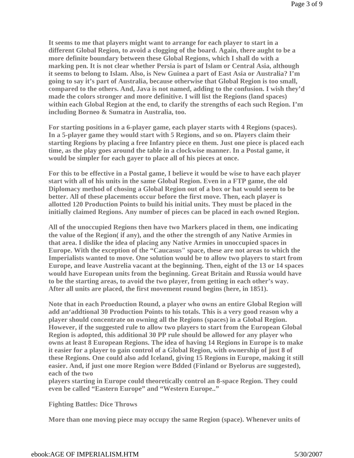**It seems to me that players might want to arrange for each player to start in a different Global Region, to avoid a clogging of the board. Again, there aught to be a more definite boundary between these Global Regions, which I shall do with a marking pen. It is not clear whether Persia is part of Islam or Central Asia, although it seems to belong to Islam. Also, is New Guinea a part of East Asia or Australia? I'm going to say it's part of Australia, because otherwise that Global Region is too small, compared to the others. And, Java is not named, adding to the confusion. I wish they'd made the colors stronger and more definitive. I will list the Regions (land spaces) within each Global Region at the end, to clarify the strengths of each such Region. I'm including Borneo & Sumatra in Australia, too.** 

**For starting positions in a 6-player game, each player starts with 4 Regions (spaces). In a 5-player game they would start with 5 Regions, and so on. Players claim their starting Regions by placing a free Infantry piece en them. Just one piece is placed each time, as the play goes around the table in a clockwise manner. In a Postal game, it would be simpler for each gayer to place all of his pieces at once.** 

**For this to be effective in a Postal game, I believe it would be wise to have each player start with all of his units in the same Global Region. Even in a FTP game, the old Diplomacy method of chosing a Global Region out of a box or hat would seem to be better. All of these placements occur before the first move. Then, each player is allotted 120 Production Points to build his initial units. They must be placed in the initially claimed Regions. Any number of pieces can be placed in each owned Region.** 

**All of the unoccupied Regions then have two Markers placed in them, one indicating the value of the Region( if any), and the other the strength of any Native Armies in that area. I dislike the idea of placing any Native Armies in unoccupied spaces in Europe. With the exception of the "Caucasus" space, these are not areas to which the Imperialists wanted to move. One solution would be to allow two players to start from Europe, and leave Austrelia vacant at the beginning. Then, eight of the 13 or 14 spaces would have European units from the beginning. Great Britain and Russia would have to be the starting areas, to avoid the two player, from getting in each other's way. After all units are placed, the first movement round begins (here, in 1851).** 

**Note that in each Proeduction Round, a player who owns an entire Global Region will add an'addtional 30 Production Points to his totals. This is a very good reason why a player should concentrate on owning all the Regions (spaces) in a Global Region. However, if the suggested rule to allow two players to start from the European Global Region is adopted, this additional 30 PP rule should be allowed for any player who owns at least 8 European Regions. The idea of having 14 Regions in Europe is to make it easier for a player to gain control of a Global Region, with ownership of just 8 of these Regions. One could also add Iceland, giving 15 Regions in Europe, making it still easier. And, if just one more Region were Bdded (Finland or Byelorus are suggested), each of the two** 

**players starting in Europe could theoretically control an 8-space Region. They could even be called "Eastern Europe" and "Western Europe.."** 

#### **Fighting Battles: Dice Throws**

**More than one moving piece may occupy the same Region (space). Whenever units of**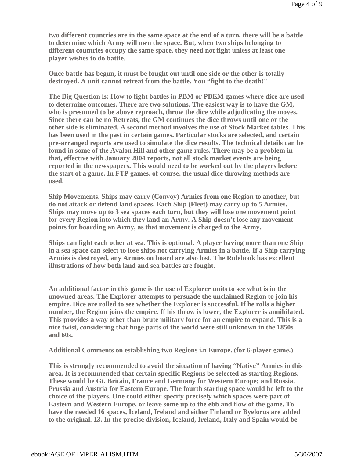**two different countries are in the same space at the end of a turn, there will be a battle to determine which Army will own the space. But, when two ships belonging to different countries occupy the same space, they need not fight unless at least one player wishes to do battle.** 

**Once battle has begun, it must be fought out until one side or the other is totally destroyed. A unit cannot retreat from the battle. You "fight to the death!"** 

**The Big Question is: How to fight battles in PBM or PBEM games where dice are used to determine outcomes. There are two solutions. The easiest way is to have the GM, who is presumed to be above reproach, throw the dice while adjudicating the moves. Since there can be no Retreats, the GM continues the dice throws until one or the other side is eliminated. A second method involves the use of Stock Market tables. This has been used in the past in certain games. Particular stocks are selected, and certain pre-arranged reports are used to simulate the dice results. The technical details can be found in some of the Avalon Hill and other game rules. There may be a problem in that, effective with January 2004 reports, not all stock market events are being reported in the newspapers. This would need to be worked out by the players before the start of a game. In FTP games, of course, the usual dice throwing methods are used.** 

**Ship Movements. Ships may carry (Convoy) Armies from one Region to another, but do not attack or defend land spaces. Each Ship (Fleet) may carry up to 5 Armies. Ships may move up to 3 sea spaces each turn, but they will lose one movement point for every Region into which they land an Army. A Ship doesn't lose any movement points for boarding an Army, as that movement is charged to the Army.** 

**Ships can fight each other at sea. This is optional. A player having more than one Ship in a sea space can select to lose ships not carrying Armies in a battle. If a Ship carrying Armies is destroyed, any Armies on board are also lost. The Rulebook has excellent illustrations of how both land and sea battles are fought.** 

**An additional factor in this game is the use of Explorer units to see what is in the unowned areas. The Explorer attempts to persuade the unclaimed Region to join his empire. Dice are rolled to see whether the Explorer is successful. If he rolls a higher number, the Region joins the empire. If his throw is lower, the Explorer is annihilated. This provides a way other than brute military force for an empire to expand. This is a nice twist, considering that huge parts of the world were still unknown in the 1850s and 60s.** 

**Additional Comments on establishing two Regions i.n Europe. (for 6-player game.)**

**This is strong]y recommended to avoid the situation of having "Native" Armies in this area. It is recommended that certain specific Regions be selected as starting Regions. These would be Gt. Britain, France and Germany for Western Europe; and Russia, Prussia and Austria for Eastern Europe. The fourth starting space would be left to the choice of the players. One could either specify precisely which spaces were part of Eastern and Western Europe, or leave some up to the ebb and flow of the game. To have the needed 16 spaces, Iceland, Ireland and either Finland or Byelorus are added to the original. 13. In the precise division, Iceland, Ireland, Italy and Spain would be**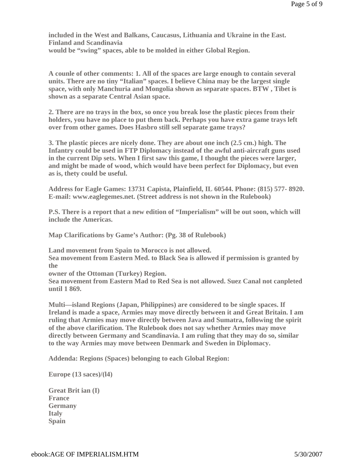**included in the West and Balkans, Caucasus, Lithuania and Ukraine in the East. Finland and Scandinavia would be "swing" spaces, able to be molded in either Global Region.** 

**A counle of other comments: 1. All of the spaces are large enough to contain several units. There are no tiny "Italian" spaces. I believe China may be the largest single space, with only Manchuria and Mongolia shown as separate spaces. BTW , Tibet is shown as a separate Central Asian space.** 

**2. There are no trays in the box, so once you break lose the plastic pieces from their holders, you have no place to put them back. Perhaps you have extra game trays left over from other games. Does Hasbro still sell separate game trays?** 

**3. The plastic pieces are nicely done. They are about one inch (2.5 cm.) high. The Infantry could be used in FTP Diplomacy instead of the awful anti-aircraft guns used in the current Dip sets. When I first saw this game, I thought the pieces were larger, and might be made of wood, which would have been perfect for Diplomacy, but even as is, thety could be useful.** 

**Address for Eagle Games: 13731 Capista, Plainfield, IL 60544. Phone: (815) 577- 8920. E-mail: www.eaglegemes.net. (Street address is not shown in the Rulebook)** 

**P.S. There is a report that a new edition of "Imperialism" will be out soon, which will include the Americas.** 

**Map Clarifications by Game's Author: (Pg. 38 of Rulebook)** 

**Land movement from Spain to Morocco is not allowed.** 

**Sea movement from Eastern Med. to Black Sea is allowed if permission is granted by the** 

**owner of the Ottoman (Turkey) Region.** 

**Sea movement from Eastern Mad to Red Sea is not allowed. Suez Canal not canpleted until 1 869.** 

**Multi—island Regions (Japan, Philippines) are considered to be single spaces. If Ireland is made a space, Armies may move directly between it and Great Britain. I am ruling that Armies may move directly between Java and Sumatra, following the spirit of the above clarification. The Rulebook does not say whether Armies may move directly between Germany and Scandinavia. I am ruling that they may do so, similar to the way Armies may move between Denmark and Sweden in Diplomacy.** 

**Addenda: Regions (Spaces) belonging to each Global Region:**

**Europe (13 saces)/(l4)**

**Great Brit ian (I) France Germany Italy Spain**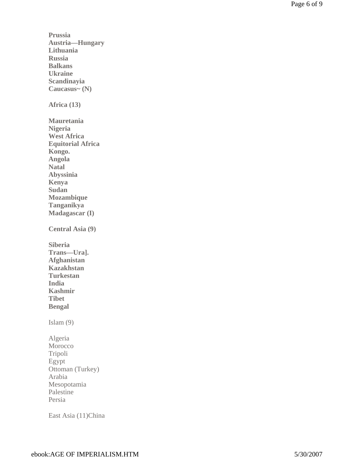**Prussia Austria—Hungary Lithuania Russia Balkans Ukraine Scandinayia Caucasus~ (N) Africa (13) Mauretania Nigeria West Africa Equitorial Africa Kongo. Angola Natal Abyssinia Kenya Sudan Mozambique Tanganikya Madagascar (I) Central Asia (9) Siberia Trans—Ura]. Afghanistan Kazakhstan Turkestan India Kashmir Tibet Bengal**  Islam (9) Algeria Morocco Tripoli Egypt Ottoman (Turkey) Arabia Mesopotamia Palestine Persia

East Asia (11)China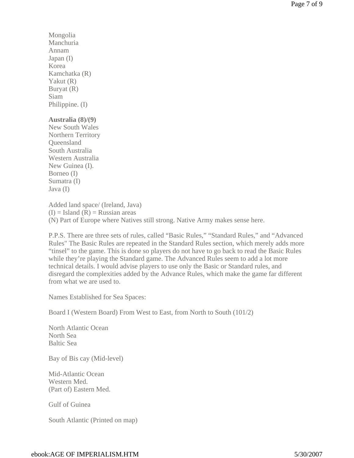Mongolia Manchuria Annam Japan (I) Korea Kamchatka (R) Yakut (R) Buryat (R) Siam Philippine. (I)

#### **Australia (8)/(9)**

New South Wales Northern Territory **Oueensland** South Australia Western Australia New Guinea (I). Borneo (I) Sumatra (I) Java (I)

Added land space/ (Ireland, Java)  $(I)$  = Island  $(R)$  = Russian areas (N) Part of Europe where Natives still strong. Native Army makes sense here.

P.P.S. There are three sets of rules, called "Basic Rules," "Standard Rules," and "Advanced Rules" The Basic Rules are repeated in the Standard Rules section, which merely adds more "tinsel" to the game. This is done so players do not have to go back to read the Basic Rules while they're playing the Standard game. The Advanced Rules seem to add a lot more technical details. I would advise players to use only the Basic or Standard rules, and disregard the complexities added by the Advance Rules, which make the game far different from what we are used to.

Names Established for Sea Spaces:

Board I (Western Board) From West to East, from North to South (101/2)

North Atlantic Ocean North Sea Baltic Sea

Bay of Bis cay (Mid-level)

Mid-Atlantic Ocean Western Med. (Part of) Eastern Med.

Gulf of Guinea

South Atlantic (Printed on map)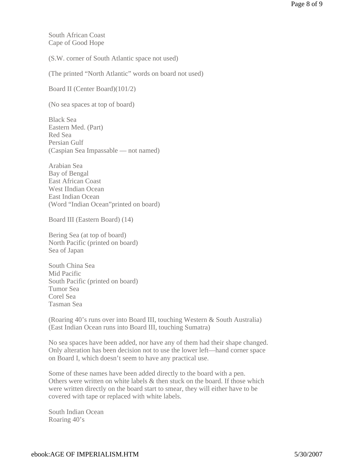South African Coast Cape of Good Hope

(S.W. corner of South Atlantic space not used)

(The printed "North Atlantic" words on board not used)

Board II (Center Board)(101/2)

(No sea spaces at top of board)

Black Sea Eastern Med. (Part) Red Sea Persian Gulf (Caspian Sea Impassable — not named)

Arabian Sea Bay of Bengal East African Coast West IIndian Ocean East Indian Ocean (Word "Indian Ocean"printed on board)

Board III (Eastern Board) (14)

Bering Sea (at top of board) North Pacific (printed on board) Sea of Japan

South China Sea Mid Pacific South Pacific (printed on board) Tumor Sea Corel Sea Tasman Sea

(Roaring 40's runs over into Board III, touching Western & South Australia) (East Indian Ocean runs into Board III, touching Sumatra)

No sea spaces have been added, nor have any of them had their shape changed. Only alteration has been decision not to use the lower left—hand corner space on Board I, which doesn't seem to have any practical use.

Some of these names have been added directly to the board with a pen. Others were written on white labels & then stuck on the board. If those which were written directly on the board start to smear, they will either have to be covered with tape or replaced with white labels.

South Indian Ocean Roaring 40's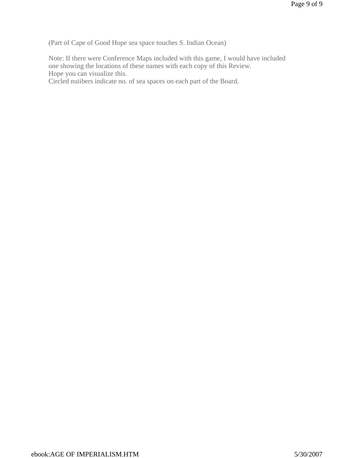(Part of Cape of Good Hope sea space touches S. Indian Ocean)

Note: If there were Conference Maps included with this game, I would have included one showing the locations of these names with each copy of this Review. Hope you can visualize this.

Circled nuiibers indicate no. of sea spaces on each part of the Board.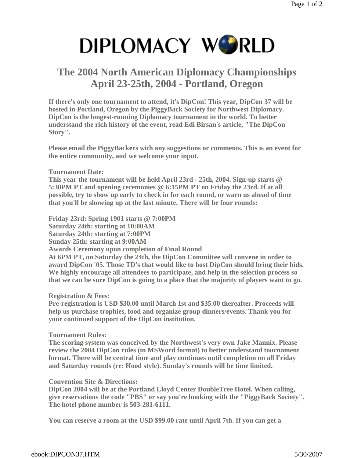## **The 2004 North American Diplomacy Championships April 23-25th, 2004 - Portland, Oregon**

**If there's only one tournament to attend, it's DipCon! This year, DipCon 37 will be hosted in Portland, Oregon by the PiggyBack Society for Northwest Diplomacy. DipCon is the longest-running Diplomacy tournament in the world. To better understand the rich history of the event, read Edi Birsan's article, "The DipCon Story".** 

**Please email the PiggyBackers with any suggestions or comments. This is an event for the entire community, and we welcome your input.** 

#### **Tournament Date:**

**This year the tournament will be held April 23rd - 25th, 2004. Sign-up starts @ 5:30PM PT and opening ceremonies @ 6:15PM PT on Friday the 23rd. If at all possible, try to show up early to check in for each round, or warn us ahead of time that you'll be showing up at the last minute. There will be four rounds:** 

**Friday 23rd: Spring 1901 starts @ 7:00PM Saturday 24th: starting at 10:00AM Saturday 24th: starting at 7:00PM Sunday 25th: starting at 9:00AM Awards Ceremony upon completion of Final Round At 6PM PT, on Saturday the 24th, the DipCon Committee will convene in order to award DipCon '05. Those TD's that would like to host DipCon should bring their bids. We highly encourage all attendees to participate, and help in the selection process so that we can be sure DipCon is going to a place that the majority of players want to go.** 

#### **Registration & Fees:**

**Pre-registration is USD \$30.00 until March 1st and \$35.00 thereafter. Proceeds will help us purchase trophies, food and organize group dinners/events. Thank you for your continued support of the DipCon institution.** 

#### **Tournament Rules:**

**The scoring system was conceived by the Northwest's very own Jake Mannix. Please review the 2004 DipCon rules (in MSWord format) to better understand tournament format. There will be central time and play continues until completion on all Friday and Saturday rounds (re: Hood style). Sunday's rounds will be time limited.** 

#### **Convention Site & Directions:**

**DipCon 2004 will be at the Portland Lloyd Center DoubleTree Hotel. When calling, give reservations the code "PBS" or say you're booking with the "PiggyBack Society". The hotel phone number is 503-281-6111.** 

**You can reserve a room at the USD \$99.00 rate until April 7th. If you can get a**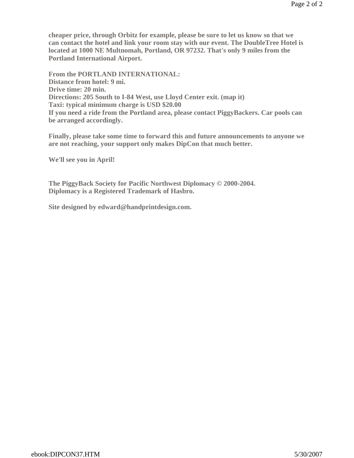**cheaper price, through Orbitz for example, please be sure to let us know so that we can contact the hotel and link your room stay with our event. The DoubleTree Hotel is located at 1000 NE Multnomah, Portland, OR 97232. That's only 9 miles from the Portland International Airport.** 

**From the PORTLAND INTERNATIONAL: Distance from hotel: 9 mi. Drive time: 20 min. Directions: 205 South to I-84 West, use Lloyd Center exit. (map it) Taxi: typical minimum charge is USD \$20.00 If you need a ride from the Portland area, please contact PiggyBackers. Car pools can be arranged accordingly.** 

**Finally, please take some time to forward this and future announcements to anyone we are not reaching, your support only makes DipCon that much better.** 

**We'll see you in April!** 

**The PiggyBack Society for Pacific Northwest Diplomacy © 2000-2004. Diplomacy is a Registered Trademark of Hasbro.** 

**Site designed by edward@handprintdesign.com.**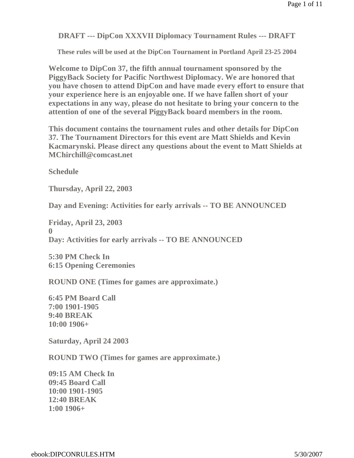**DRAFT --- DipCon XXXVII Diplomacy Tournament Rules --- DRAFT**

**These rules will be used at the DipCon Tournament in Portland April 23-25 2004**

**Welcome to DipCon 37, the fifth annual tournament sponsored by the PiggyBack Society for Pacific Northwest Diplomacy. We are honored that you have chosen to attend DipCon and have made every effort to ensure that your experience here is an enjoyable one. If we have fallen short of your expectations in any way, please do not hesitate to bring your concern to the attention of one of the several PiggyBack board members in the room.**

**This document contains the tournament rules and other details for DipCon 37. The Tournament Directors for this event are Matt Shields and Kevin Kacmarynski. Please direct any questions about the event to Matt Shields at MChirchill@comcast.net**

**Schedule** 

**Thursday, April 22, 2003**

**Day and Evening: Activities for early arrivals -- TO BE ANNOUNCED**

**Friday, April 23, 2003 0 Day: Activities for early arrivals -- TO BE ANNOUNCED**

**5:30 PM Check In 6:15 Opening Ceremonies**

**ROUND ONE (Times for games are approximate.)**

**6:45 PM Board Call 7:00 1901-1905 9:40 BREAK 10:00 1906+**

**Saturday, April 24 2003**

**ROUND TWO (Times for games are approximate.)**

**09:15 AM Check In 09:45 Board Call 10:00 1901-1905 12:40 BREAK 1:00 1906+**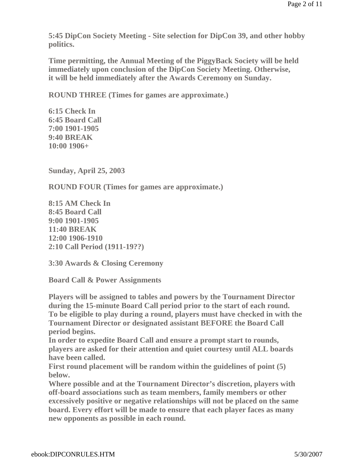**5:45 DipCon Society Meeting - Site selection for DipCon 39, and other hobby politics.** 

**Time permitting, the Annual Meeting of the PiggyBack Society will be held immediately upon conclusion of the DipCon Society Meeting. Otherwise, it will be held immediately after the Awards Ceremony on Sunday.**

**ROUND THREE (Times for games are approximate.)**

**6:15 Check In 6:45 Board Call 7:00 1901-1905 9:40 BREAK 10:00 1906+**

**Sunday, April 25, 2003**

**ROUND FOUR (Times for games are approximate.)**

**8:15 AM Check In 8:45 Board Call 9:00 1901-1905 11:40 BREAK 12:00 1906-1910 2:10 Call Period (1911-19??)**

**3:30 Awards & Closing Ceremony** 

**Board Call & Power Assignments**

**Players will be assigned to tables and powers by the Tournament Director during the 15-minute Board Call period prior to the start of each round. To be eligible to play during a round, players must have checked in with the Tournament Director or designated assistant BEFORE the Board Call period begins.**

**In order to expedite Board Call and ensure a prompt start to rounds, players are asked for their attention and quiet courtesy until ALL boards have been called.**

**First round placement will be random within the guidelines of point (5) below.**

**Where possible and at the Tournament Director's discretion, players with off-board associations such as team members, family members or other excessively positive or negative relationships will not be placed on the same board. Every effort will be made to ensure that each player faces as many new opponents as possible in each round.**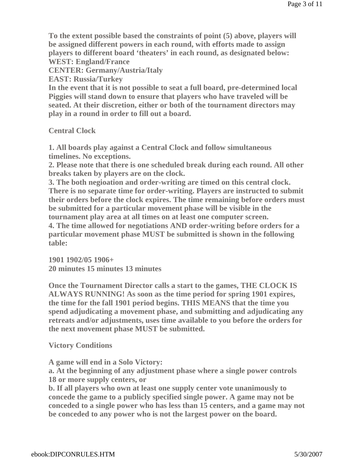**To the extent possible based the constraints of point (5) above, players will be assigned different powers in each round, with efforts made to assign players to different board 'theaters' in each round, as designated below: WEST: England/France**

**CENTER: Germany/Austria/Italy**

**EAST: Russia/Turkey**

**In the event that it is not possible to seat a full board, pre-determined local Piggies will stand down to ensure that players who have traveled will be seated. At their discretion, either or both of the tournament directors may play in a round in order to fill out a board.** 

**Central Clock**

**1. All boards play against a Central Clock and follow simultaneous timelines. No exceptions.**

**2. Please note that there is one scheduled break during each round. All other breaks taken by players are on the clock.**

**3. The both negioation and order-writing are timed on this central clock. There is no separate time for order-writing. Players are instructed to submit their orders before the clock expires. The time remaining before orders must be submitted for a particular movement phase will be visible in the tournament play area at all times on at least one computer screen.**

**4. The time allowed for negotiations AND order-writing before orders for a particular movement phase MUST be submitted is shown in the following table:**

**1901 1902/05 1906+ 20 minutes 15 minutes 13 minutes** 

**Once the Tournament Director calls a start to the games, THE CLOCK IS ALWAYS RUNNING! As soon as the time period for spring 1901 expires, the time for the fall 1901 period begins. THIS MEANS that the time you spend adjudicating a movement phase, and submitting and adjudicating any retreats and/or adjustments, uses time available to you before the orders for the next movement phase MUST be submitted.**

**Victory Conditions**

**A game will end in a Solo Victory:**

**a. At the beginning of any adjustment phase where a single power controls 18 or more supply centers, or**

**b. If all players who own at least one supply center vote unanimously to concede the game to a publicly specified single power. A game may not be conceded to a single power who has less than 15 centers, and a game may not be conceded to any power who is not the largest power on the board.**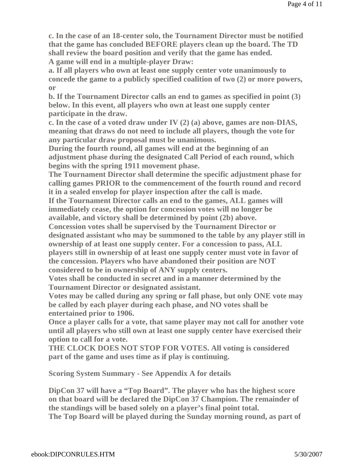**c. In the case of an 18-center solo, the Tournament Director must be notified that the game has concluded BEFORE players clean up the board. The TD shall review the board position and verify that the game has ended. A game will end in a multiple-player Draw:**

**a. If all players who own at least one supply center vote unanimously to concede the game to a publicly specified coalition of two (2) or more powers, or**

**b. If the Tournament Director calls an end to games as specified in point (3) below. In this event, all players who own at least one supply center participate in the draw.** 

**c. In the case of a voted draw under IV (2) (a) above, games are non-DIAS, meaning that draws do not need to include all players, though the vote for any particular draw proposal must be unanimous.** 

**During the fourth round, all games will end at the beginning of an adjustment phase during the designated Call Period of each round, which begins with the spring 1911 movement phase.**

**The Tournament Director shall determine the specific adjustment phase for calling games PRIOR to the commencement of the fourth round and record it in a sealed envelop for player inspection after the call is made.**

**If the Tournament Director calls an end to the games, ALL games will immediately cease, the option for concession votes will no longer be available, and victory shall be determined by point (2b) above.**

**Concession votes shall be supervised by the Tournament Director or designated assistant who may be summoned to the table by any player still in ownership of at least one supply center. For a concession to pass, ALL players still in ownership of at least one supply center must vote in favor of the concession. Players who have abandoned their position are NOT considered to be in ownership of ANY supply centers.**

**Votes shall be conducted in secret and in a manner determined by the Tournament Director or designated assistant.**

**Votes may be called during any spring or fall phase, but only ONE vote may be called by each player during each phase, and NO votes shall be entertained prior to 1906.**

**Once a player calls for a vote, that same player may not call for another vote until all players who still own at least one supply center have exercised their option to call for a vote.**

**THE CLOCK DOES NOT STOP FOR VOTES. All voting is considered part of the game and uses time as if play is continuing.**

**Scoring System Summary - See Appendix A for details**

**DipCon 37 will have a "Top Board". The player who has the highest score on that board will be declared the DipCon 37 Champion. The remainder of the standings will be based solely on a player's final point total. The Top Board will be played during the Sunday morning round, as part of**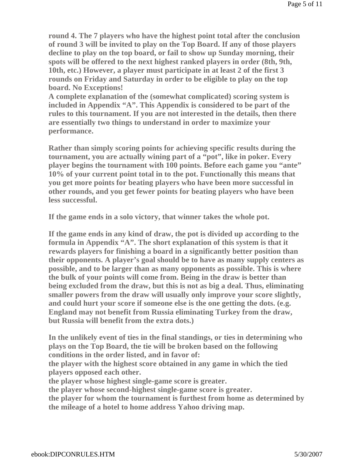**round 4. The 7 players who have the highest point total after the conclusion of round 3 will be invited to play on the Top Board. If any of those players decline to play on the top board, or fail to show up Sunday morning, their spots will be offered to the next highest ranked players in order (8th, 9th, 10th, etc.) However, a player must participate in at least 2 of the first 3 rounds on Friday and Saturday in order to be eligible to play on the top board. No Exceptions!**

**A complete explanation of the (somewhat complicated) scoring system is included in Appendix "A". This Appendix is considered to be part of the rules to this tournament. If you are not interested in the details, then there are essentially two things to understand in order to maximize your performance.** 

**Rather than simply scoring points for achieving specific results during the tournament, you are actually wining part of a "pot", like in poker. Every player begins the tournament with 100 points. Before each game you "ante" 10% of your current point total in to the pot. Functionally this means that you get more points for beating players who have been more successful in other rounds, and you get fewer points for beating players who have been less successful.** 

**If the game ends in a solo victory, that winner takes the whole pot.** 

**If the game ends in any kind of draw, the pot is divided up according to the formula in Appendix "A". The short explanation of this system is that it rewards players for finishing a board in a significantly better position than their opponents. A player's goal should be to have as many supply centers as possible, and to be larger than as many opponents as possible. This is where the bulk of your points will come from. Being in the draw is better than being excluded from the draw, but this is not as big a deal. Thus, eliminating smaller powers from the draw will usually only improve your score slightly, and could hurt your score if someone else is the one getting the dots. (e.g. England may not benefit from Russia eliminating Turkey from the draw, but Russia will benefit from the extra dots.)**

**In the unlikely event of ties in the final standings, or ties in determining who plays on the Top Board, the tie will be broken based on the following conditions in the order listed, and in favor of:** 

**the player with the highest score obtained in any game in which the tied players opposed each other.**

**the player whose highest single-game score is greater.**

**the player whose second-highest single-game score is greater.**

**the player for whom the tournament is furthest from home as determined by the mileage of a hotel to home address Yahoo driving map.**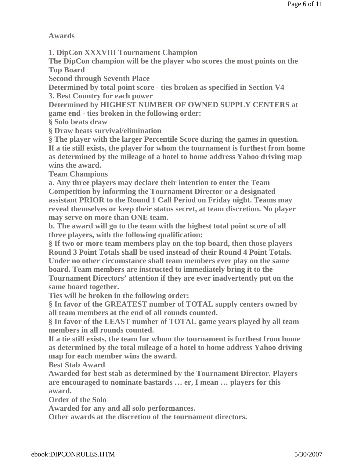**Awards**

**1. DipCon XXXVIII Tournament Champion**

**The DipCon champion will be the player who scores the most points on the Top Board**

**Second through Seventh Place**

**Determined by total point score - ties broken as specified in Section V4 3. Best Country for each power**

**Determined by HIGHEST NUMBER OF OWNED SUPPLY CENTERS at game end - ties broken in the following order:**

**§ Solo beats draw**

**§ Draw beats survival/elimination**

**§ The player with the larger Percentile Score during the games in question. If a tie still exists, the player for whom the tournament is furthest from home as determined by the mileage of a hotel to home address Yahoo driving map wins the award.**

**Team Champions**

**a. Any three players may declare their intention to enter the Team Competition by informing the Tournament Director or a designated assistant PRIOR to the Round 1 Call Period on Friday night. Teams may reveal themselves or keep their status secret, at team discretion. No player may serve on more than ONE team.**

**b. The award will go to the team with the highest total point score of all three players, with the following qualification:**

**§ If two or more team members play on the top board, then those players Round 3 Point Totals shall be used instead of their Round 4 Point Totals. Under no other circumstance shall team members ever play on the same board. Team members are instructed to immediately bring it to the** 

**Tournament Directors' attention if they are ever inadvertently put on the same board together.** 

**Ties will be broken in the following order:**

**§ In favor of the GREATEST number of TOTAL supply centers owned by all team members at the end of all rounds counted.**

**§ In favor of the LEAST number of TOTAL game years played by all team members in all rounds counted.**

**If a tie still exists, the team for whom the tournament is furthest from home as determined by the total mileage of a hotel to home address Yahoo driving map for each member wins the award.**

**Best Stab Award**

**Awarded for best stab as determined by the Tournament Director. Players are encouraged to nominate bastards … er, I mean … players for this award.**

**Order of the Solo**

**Awarded for any and all solo performances.**

**Other awards at the discretion of the tournament directors.**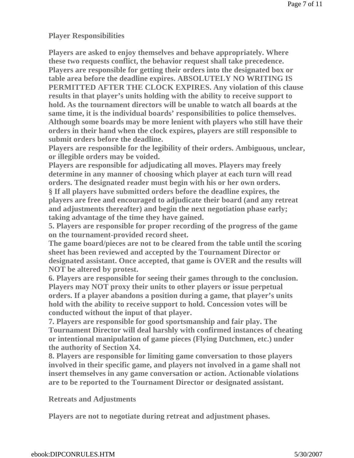**Player Responsibilities**

**Players are asked to enjoy themselves and behave appropriately. Where these two requests conflict, the behavior request shall take precedence. Players are responsible for getting their orders into the designated box or table area before the deadline expires. ABSOLUTELY NO WRITING IS PERMITTED AFTER THE CLOCK EXPIRES. Any violation of this clause results in that player's units holding with the ability to receive support to hold. As the tournament directors will be unable to watch all boards at the same time, it is the individual boards' responsibilities to police themselves. Although some boards may be more lenient with players who still have their orders in their hand when the clock expires, players are still responsible to submit orders before the deadline.**

**Players are responsible for the legibility of their orders. Ambiguous, unclear, or illegible orders may be voided.** 

**Players are responsible for adjudicating all moves. Players may freely determine in any manner of choosing which player at each turn will read orders. The designated reader must begin with his or her own orders. § If all players have submitted orders before the deadline expires, the players are free and encouraged to adjudicate their board (and any retreat and adjustments thereafter) and begin the next negotiation phase early; taking advantage of the time they have gained.**

**5. Players are responsible for proper recording of the progress of the game on the tournament-provided record sheet.**

**The game board/pieces are not to be cleared from the table until the scoring sheet has been reviewed and accepted by the Tournament Director or designated assistant. Once accepted, that game is OVER and the results will NOT be altered by protest.**

**6. Players are responsible for seeing their games through to the conclusion. Players may NOT proxy their units to other players or issue perpetual orders. If a player abandons a position during a game, that player's units hold with the ability to receive support to hold. Concession votes will be conducted without the input of that player.**

**7. Players are responsible for good sportsmanship and fair play. The Tournament Director will deal harshly with confirmed instances of cheating or intentional manipulation of game pieces (Flying Dutchmen, etc.) under the authority of Section X4.**

**8. Players are responsible for limiting game conversation to those players involved in their specific game, and players not involved in a game shall not insert themselves in any game conversation or action. Actionable violations are to be reported to the Tournament Director or designated assistant.**

**Retreats and Adjustments**

**Players are not to negotiate during retreat and adjustment phases.**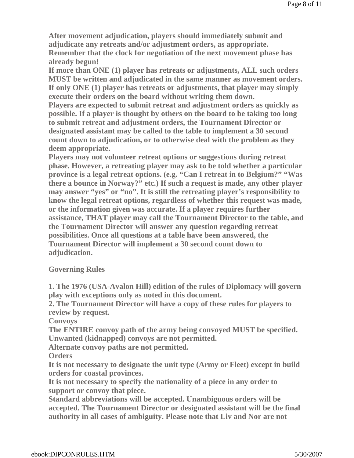**After movement adjudication, players should immediately submit and adjudicate any retreats and/or adjustment orders, as appropriate. Remember that the clock for negotiation of the next movement phase has already begun!**

**If more than ONE (1) player has retreats or adjustments, ALL such orders MUST be written and adjudicated in the same manner as movement orders. If only ONE (1) player has retreats or adjustments, that player may simply execute their orders on the board without writing them down.**

**Players are expected to submit retreat and adjustment orders as quickly as possible. If a player is thought by others on the board to be taking too long to submit retreat and adjustment orders, the Tournament Director or designated assistant may be called to the table to implement a 30 second count down to adjudication, or to otherwise deal with the problem as they deem appropriate.**

**Players may not volunteer retreat options or suggestions during retreat phase. However, a retreating player may ask to be told whether a particular province is a legal retreat options. (e.g. "Can I retreat in to Belgium?" "Was there a bounce in Norway?" etc.) If such a request is made, any other player may answer "yes" or "no". It is still the retreating player's responsibility to know the legal retreat options, regardless of whether this request was made, or the information given was accurate. If a player requires further assistance, THAT player may call the Tournament Director to the table, and the Tournament Director will answer any question regarding retreat possibilities. Once all questions at a table have been answered, the Tournament Director will implement a 30 second count down to adjudication.**

#### **Governing Rules**

**1. The 1976 (USA-Avalon Hill) edition of the rules of Diplomacy will govern play with exceptions only as noted in this document.**

**2. The Tournament Director will have a copy of these rules for players to review by request.**

**Convoys** 

**The ENTIRE convoy path of the army being convoyed MUST be specified. Unwanted (kidnapped) convoys are not permitted.**

**Alternate convoy paths are not permitted.**

**Orders** 

**It is not necessary to designate the unit type (Army or Fleet) except in build orders for coastal provinces.**

**It is not necessary to specify the nationality of a piece in any order to support or convoy that piece.**

**Standard abbreviations will be accepted. Unambiguous orders will be accepted. The Tournament Director or designated assistant will be the final authority in all cases of ambiguity. Please note that Liv and Nor are not**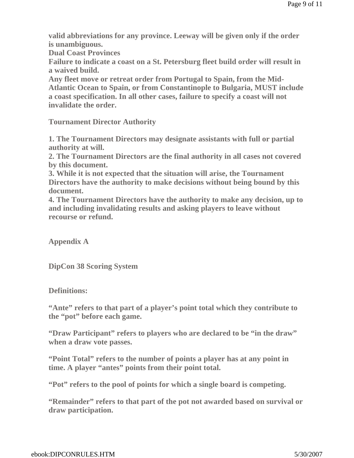**valid abbreviations for any province. Leeway will be given only if the order is unambiguous.**

**Dual Coast Provinces** 

**Failure to indicate a coast on a St. Petersburg fleet build order will result in a waived build.**

**Any fleet move or retreat order from Portugal to Spain, from the Mid-Atlantic Ocean to Spain, or from Constantinople to Bulgaria, MUST include a coast specification. In all other cases, failure to specify a coast will not invalidate the order.**

**Tournament Director Authority**

**1. The Tournament Directors may designate assistants with full or partial authority at will.**

**2. The Tournament Directors are the final authority in all cases not covered by this document.**

**3. While it is not expected that the situation will arise, the Tournament Directors have the authority to make decisions without being bound by this document.**

**4. The Tournament Directors have the authority to make any decision, up to and including invalidating results and asking players to leave without recourse or refund.**

**Appendix A**

**DipCon 38 Scoring System**

**Definitions:**

**"Ante" refers to that part of a player's point total which they contribute to the "pot" before each game.**

**"Draw Participant" refers to players who are declared to be "in the draw" when a draw vote passes.**

**"Point Total" refers to the number of points a player has at any point in time. A player "antes" points from their point total.** 

**"Pot" refers to the pool of points for which a single board is competing.**

**"Remainder" refers to that part of the pot not awarded based on survival or draw participation.**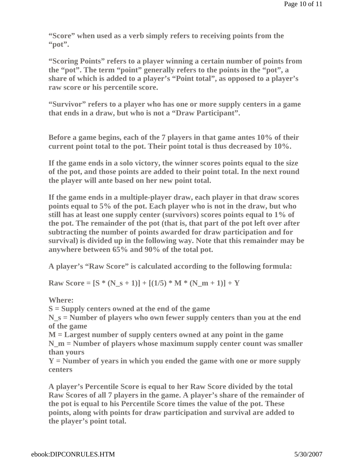**"Score" when used as a verb simply refers to receiving points from the "pot".** 

**"Scoring Points" refers to a player winning a certain number of points from the "pot". The term "point" generally refers to the points in the "pot", a share of which is added to a player's "Point total", as opposed to a player's raw score or his percentile score.**

**"Survivor" refers to a player who has one or more supply centers in a game that ends in a draw, but who is not a "Draw Participant".**

**Before a game begins, each of the 7 players in that game antes 10% of their current point total to the pot. Their point total is thus decreased by 10%.**

**If the game ends in a solo victory, the winner scores points equal to the size of the pot, and those points are added to their point total. In the next round the player will ante based on her new point total.**

**If the game ends in a multiple-player draw, each player in that draw scores points equal to 5% of the pot. Each player who is not in the draw, but who still has at least one supply center (survivors) scores points equal to 1% of the pot. The remainder of the pot (that is, that part of the pot left over after subtracting the number of points awarded for draw participation and for survival) is divided up in the following way. Note that this remainder may be anywhere between 65% and 90% of the total pot.** 

**A player's "Raw Score" is calculated according to the following formula:**

**Raw Score =**  $[S * (N_s + 1)] + [(1/5) * M * (N_m + 1)] + Y$ 

**Where:**

**S = Supply centers owned at the end of the game**

**N\_s = Number of players who own fewer supply centers than you at the end of the game**

**M = Largest number of supply centers owned at any point in the game N\_m = Number of players whose maximum supply center count was smaller than yours**

**Y = Number of years in which you ended the game with one or more supply centers**

**A player's Percentile Score is equal to her Raw Score divided by the total Raw Scores of all 7 players in the game. A player's share of the remainder of the pot is equal to his Percentile Score times the value of the pot. These points, along with points for draw participation and survival are added to the player's point total.**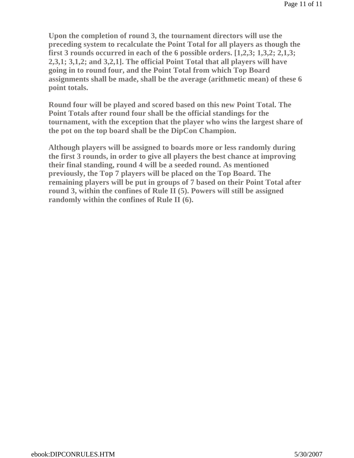**Upon the completion of round 3, the tournament directors will use the preceding system to recalculate the Point Total for all players as though the first 3 rounds occurred in each of the 6 possible orders. [1,2,3; 1,3,2; 2,1,3; 2,3,1; 3,1,2; and 3,2,1]. The official Point Total that all players will have going in to round four, and the Point Total from which Top Board assignments shall be made, shall be the average (arithmetic mean) of these 6 point totals.** 

**Round four will be played and scored based on this new Point Total. The Point Totals after round four shall be the official standings for the tournament, with the exception that the player who wins the largest share of the pot on the top board shall be the DipCon Champion.**

**Although players will be assigned to boards more or less randomly during the first 3 rounds, in order to give all players the best chance at improving their final standing, round 4 will be a seeded round. As mentioned previously, the Top 7 players will be placed on the Top Board. The remaining players will be put in groups of 7 based on their Point Total after round 3, within the confines of Rule II (5). Powers will still be assigned randomly within the confines of Rule II (6).**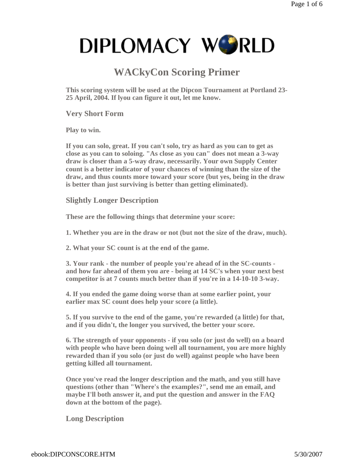## **WACkyCon Scoring Primer**

**This scoring system will be used at the Dipcon Tournament at Portland 23- 25 April, 2004. If lyou can figure it out, let me know.** 

**Very Short Form**

**Play to win.**

**If you can solo, great. If you can't solo, try as hard as you can to get as close as you can to soloing. "As close as you can" does not mean a 3-way draw is closer than a 5-way draw, necessarily. Your own Supply Center count is a better indicator of your chances of winning than the size of the draw, and thus counts more toward your score (but yes, being in the draw is better than just surviving is better than getting eliminated).** 

**Slightly Longer Description**

**These are the following things that determine your score:**

**1. Whether you are in the draw or not (but not the size of the draw, much).** 

**2. What your SC count is at the end of the game.** 

**3. Your rank - the number of people you're ahead of in the SC-counts and how far ahead of them you are - being at 14 SC's when your next best competitor is at 7 counts much better than if you're in a 14-10-10 3-way.** 

**4. If you ended the game doing worse than at some earlier point, your earlier max SC count does help your score (a little).** 

**5. If you survive to the end of the game, you're rewarded (a little) for that, and if you didn't, the longer you survived, the better your score.** 

**6. The strength of your opponents - if you solo (or just do well) on a board with people who have been doing well all tournament, you are more highly rewarded than if you solo (or just do well) against people who have been getting killed all tournament.** 

**Once you've read the longer description and the math, and you still have questions (other than "Where's the examples?", send me an email, and maybe I'll both answer it, and put the question and answer in the FAQ down at the bottom of the page).**

**Long Description**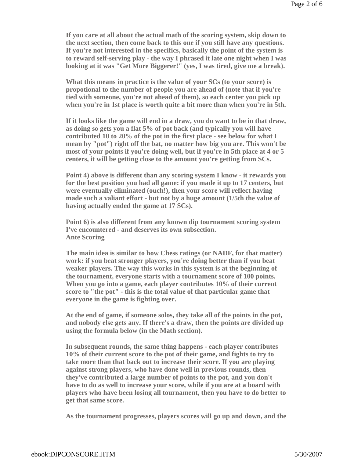**If you care at all about the actual math of the scoring system, skip down to the next section, then come back to this one if you still have any questions. If you're not interested in the specifics, basically the point of the system is to reward self-serving play - the way I phrased it late one night when I was looking at it was "Get More Biggerer!" (yes, I was tired, give me a break).**

**What this means in practice is the value of your SCs (to your score) is propotional to the number of people you are ahead of (note that if you're tied with someone, you're not ahead of them), so each center you pick up when you're in 1st place is worth quite a bit more than when you're in 5th.**

**If it looks like the game will end in a draw, you do want to be in that draw, as doing so gets you a flat 5% of pot back (and typically you will have contributed 10 to 20% of the pot in the first place - see below for what I mean by "pot") right off the bat, no matter how big you are. This won't be most of your points if you're doing well, but if you're in 5th place at 4 or 5 centers, it will be getting close to the amount you're getting from SCs.**

**Point 4) above is different than any scoring system I know - it rewards you for the best position you had all game: if you made it up to 17 centers, but were eventually eliminated (ouch!), then your score will reflect having made such a valiant effort - but not by a huge amount (1/5th the value of having actually ended the game at 17 SCs).**

**Point 6) is also different from any known dip tournament scoring system I've encountered - and deserves its own subsection. Ante Scoring**

**The main idea is similar to how Chess ratings (or NADF, for that matter) work: if you beat stronger players, you're doing better than if you beat weaker players. The way this works in this system is at the beginning of the tournament, everyone starts with a tournament score of 100 points. When you go into a game, each player contributes 10% of their current score to "the pot" - this is the total value of that particular game that everyone in the game is fighting over.**

**At the end of game, if someone solos, they take all of the points in the pot, and nobody else gets any. If there's a draw, then the points are divided up using the formula below (in the Math section).**

**In subsequent rounds, the same thing happens - each player contributes 10% of their current score to the pot of their game, and fights to try to take more than that back out to increase their score. If you are playing against strong players, who have done well in previous rounds, then they've contributed a large number of points to the pot, and you don't have to do as well to increase your score, while if you are at a board with players who have been losing all tournament, then you have to do better to get that same score.**

**As the tournament progresses, players scores will go up and down, and the**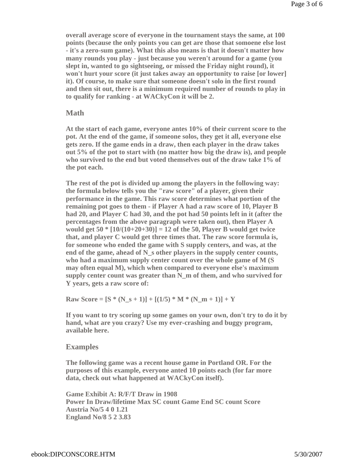**overall average score of everyone in the tournament stays the same, at 100 points (because the only points you can get are those that somoene else lost - it's a zero-sum game). What this also means is that it doesn't matter how many rounds you play - just because you weren't around for a game (you slept in, wanted to go sightseeing, or missed the Friday night round), it won't hurt your score (it just takes away an opportunity to raise [or lower] it). Of course, to make sure that someone doesn't solo in the first round and then sit out, there is a minimum required number of rounds to play in to qualify for ranking - at WACkyCon it will be 2.**

#### **Math**

**At the start of each game, everyone antes 10% of their current score to the pot. At the end of the game, if someone solos, they get it all, everyone else gets zero. If the game ends in a draw, then each player in the draw takes out 5% of the pot to start with (no matter how big the draw is), and people who survived to the end but voted themselves out of the draw take 1% of the pot each.**

**The rest of the pot is divided up among the players in the following way: the formula below tells you the "raw score" of a player, given their performance in the game. This raw score determines what portion of the remaining pot goes to them - if Player A had a raw score of 10, Player B had 20, and Player C had 30, and the pot had 50 points left in it (after the percentages from the above paragraph were taken out), then Player A would get 50 \* [10/(10+20+30)] = 12 of the 50, Player B would get twice that, and player C would get three times that. The raw score formula is, for someone who ended the game with S supply centers, and was, at the end of the game, ahead of N\_s other players in the supply center counts, who had a maximum supply center count over the whole game of M (S may often equal M), which when compared to everyone else's maximum supply center count was greater than N\_m of them, and who survived for Y years, gets a raw score of:**

**Raw Score =**  $[S * (N_s + 1)] + [(1/5) * M * (N_m + 1)] + Y$ 

**If you want to try scoring up some games on your own, don't try to do it by hand, what are you crazy? Use my ever-crashing and buggy program, available here.**

#### **Examples**

**The following game was a recent house game in Portland OR. For the purposes of this example, everyone anted 10 points each (for far more data, check out what happened at WACkyCon itself).**

**Game Exhibit A: R/F/T Draw in 1908 Power In Draw/lifetime Max SC count Game End SC count Score Austria No/5 4 0 1.21 England No/8 5 2 3.83**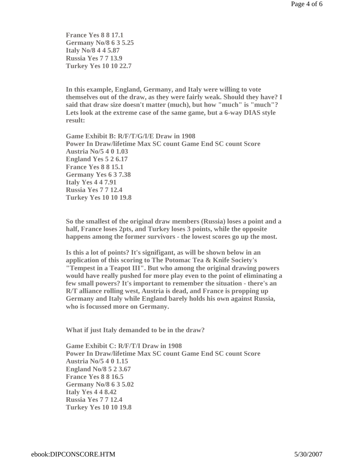**France Yes 8 8 17.1 Germany No/8 6 3 5.25 Italy No/8 4 4 5.87 Russia Yes 7 7 13.9 Turkey Yes 10 10 22.7**

**In this example, England, Germany, and Italy were willing to vote themselves out of the draw, as they were fairly weak. Should they have? I said that draw size doesn't matter (much), but how "much" is "much"? Lets look at the extreme case of the same game, but a 6-way DIAS style result:**

**Game Exhibit B: R/F/T/G/I/E Draw in 1908 Power In Draw/lifetime Max SC count Game End SC count Score Austria No/5 4 0 1.03 England Yes 5 2 6.17 France Yes 8 8 15.1 Germany Yes 6 3 7.38 Italy Yes 4 4 7.91 Russia Yes 7 7 12.4 Turkey Yes 10 10 19.8**

**So the smallest of the original draw members (Russia) loses a point and a half, France loses 2pts, and Turkey loses 3 points, while the opposite happens among the former survivors - the lowest scores go up the most.**

**Is this a lot of points? It's signifigant, as will be shown below in an application of this scoring to The Potomac Tea & Knife Society's "Tempest in a Teapot III". But who among the original drawing powers would have really pushed for more play even to the point of eliminating a few small powers? It's important to remember the situation - there's an R/T alliance rolling west, Austria is dead, and France is propping up Germany and Italy while England barely holds his own against Russia, who is focussed more on Germany.**

**What if just Italy demanded to be in the draw?**

**Game Exhibit C: R/F/T/I Draw in 1908 Power In Draw/lifetime Max SC count Game End SC count Score Austria No/5 4 0 1.15 England No/8 5 2 3.67 France Yes 8 8 16.5 Germany No/8 6 3 5.02 Italy Yes 4 4 8.42 Russia Yes 7 7 12.4 Turkey Yes 10 10 19.8**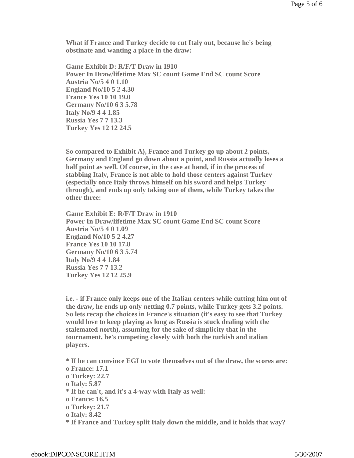**What if France and Turkey decide to cut Italy out, because he's being obstinate and wanting a place in the draw:**

**Game Exhibit D: R/F/T Draw in 1910 Power In Draw/lifetime Max SC count Game End SC count Score Austria No/5 4 0 1.10 England No/10 5 2 4.30 France Yes 10 10 19.0 Germany No/10 6 3 5.78 Italy No/9 4 4 1.85 Russia Yes 7 7 13.3 Turkey Yes 12 12 24.5**

**So compared to Exhibit A), France and Turkey go up about 2 points, Germany and England go down about a point, and Russia actually loses a half point as well. Of course, in the case at hand, if in the process of stabbing Italy, France is not able to hold those centers against Turkey (especially once Italy throws himself on his sword and helps Turkey through), and ends up only taking one of them, while Turkey takes the other three:**

**Game Exhibit E: R/F/T Draw in 1910 Power In Draw/lifetime Max SC count Game End SC count Score Austria No/5 4 0 1.09 England No/10 5 2 4.27 France Yes 10 10 17.8 Germany No/10 6 3 5.74 Italy No/9 4 4 1.84 Russia Yes 7 7 13.2 Turkey Yes 12 12 25.9**

**i.e. - if France only keeps one of the Italian centers while cutting him out of the draw, he ends up only netting 0.7 points, while Turkey gets 3.2 points. So lets recap the choices in France's situation (it's easy to see that Turkey would love to keep playing as long as Russia is stuck dealing with the stalemated north), assuming for the sake of simplicity that in the tournament, he's competing closely with both the turkish and italian players.**

**\* If he can convince EGI to vote themselves out of the draw, the scores are: o France: 17.1 o Turkey: 22.7 o Italy: 5.87 \* If he can't, and it's a 4-way with Italy as well: o France: 16.5 o Turkey: 21.7 o Italy: 8.42 \* If France and Turkey split Italy down the middle, and it holds that way?**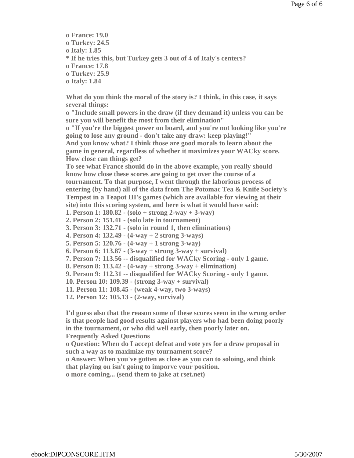- **o France: 19.0 o Turkey: 24.5 o Italy: 1.85 \* If he tries this, but Turkey gets 3 out of 4 of Italy's centers? o France: 17.8 o Turkey: 25.9**
- **o Italy: 1.84**

**What do you think the moral of the story is? I think, in this case, it says several things:** 

**o "Include small powers in the draw (if they demand it) unless you can be sure you will benefit the most from their elimination"** 

**o "If you're the biggest power on board, and you're not looking like you're going to lose any ground - don't take any draw: keep playing!" And you know what? I think those are good morals to learn about the game in general, regardless of whether it maximizes your WACky score. How close can things get?** 

**To see what France should do in the above example, you really should know how close these scores are going to get over the course of a tournament. To that purpose, I went through the laborious process of entering (by hand) all of the data from The Potomac Tea & Knife Society's Tempest in a Teapot III's games (which are available for viewing at their site) into this scoring system, and here is what it would have said:** 

**1. Person 1: 180.82 - (solo + strong 2-way + 3-way)** 

**2. Person 2: 151.41 - (solo late in tournament)** 

**3. Person 3: 132.71 - (solo in round 1, then eliminations)** 

**4. Person 4: 132.49 - (4-way + 2 strong 3-ways)** 

**5. Person 5: 120.76 - (4-way + 1 strong 3-way)** 

**6. Person 6: 113.87 - (3-way + strong 3-way + survival)** 

**7. Person 7: 113.56 -- disqualified for WACky Scoring - only 1 game.** 

**8. Person 8: 113.42 - (4-way + strong 3-way + elimination)** 

**9. Person 9: 112.31 -- disqualified for WACky Scoring - only 1 game.** 

**10. Person 10: 109.39 - (strong 3-way + survival)** 

**11. Person 11: 108.45 - (weak 4-way, two 3-ways)** 

**12. Person 12: 105.13 - (2-way, survival)** 

**I'd guess also that the reason some of these scores seem in the wrong order is that people had good results against players who had been doing poorly in the tournament, or who did well early, then poorly later on. Frequently Asked Questions o Question: When do I accept defeat and vote yes for a draw proposal in such a way as to maximize my tournament score? o Answer: When you've gotten as close as you can to soloing, and think that playing on isn't going to imporve your position. o more coming... (send them to jake at rset.net)**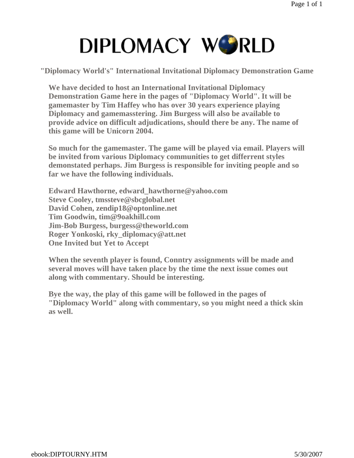**"Diplomacy World's" International Invitational Diplomacy Demonstration Game** 

**We have decided to host an International Invitational Diplomacy Demonstration Game here in the pages of "Diplomacy World". It will be gamemaster by Tim Haffey who has over 30 years experience playing Diplomacy and gamemasstering. Jim Burgess will also be available to provide advice on difficult adjudications, should there be any. The name of this game will be Unicorn 2004.**

**So much for the gamemaster. The game will be played via email. Players will be invited from various Diplomacy communities to get differrent styles demonstated perhaps. Jim Burgess is responsible for inviting people and so far we have the following individuals.**

**Edward Hawthorne, edward\_hawthorne@yahoo.com Steve Cooley, tmssteve@sbcglobal.net David Cohen, zendip18@optonline.net Tim Goodwin, tim@9oakhill.com Jim-Bob Burgess, burgess@theworld.com Roger Yonkoski, rky\_diplomacy@att.net One Invited but Yet to Accept**

**When the seventh player is found, Conntry assignments will be made and several moves will have taken place by the time the next issue comes out along with commentary. Should be interesting.**

**Bye the way, the play of this game will be followed in the pages of "Diplomacy World" along with commentary, so you might need a thick skin as well.**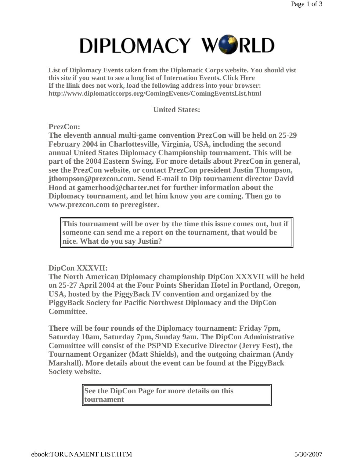**List of Diplomacy Events taken from the Diplomatic Corps website. You should vist this site if you want to see a long list of Internation Events. Click Here If the llink does not work, load the following address into your browser: http://www.diplomaticcorps.org/ComingEvents/ComingEventsList.html** 

**United States:**

**PrezCon:**

**The eleventh annual multi-game convention PrezCon will be held on 25-29 February 2004 in Charlottesville, Virginia, USA, including the second annual United States Diplomacy Championship tournament. This will be part of the 2004 Eastern Swing. For more details about PrezCon in general, see the PrezCon website, or contact PrezCon president Justin Thompson, jthompson@prezcon.com. Send E-mail to Dip tournament director David Hood at gamerhood@charter.net for further information about the Diplomacy tournament, and let him know you are coming. Then go to www.prezcon.com to preregister.** 

**This tournament will be over by the time this issue comes out, but if someone can send me a report on the tournament, that would be nice. What do you say Justin?**

#### **DipCon XXXVII:**

**The North American Diplomacy championship DipCon XXXVII will be held on 25-27 April 2004 at the Four Points Sheridan Hotel in Portland, Oregon, USA, hosted by the PiggyBack IV convention and organized by the PiggyBack Society for Pacific Northwest Diplomacy and the DipCon Committee.** 

**There will be four rounds of the Diplomacy tournament: Friday 7pm, Saturday 10am, Saturday 7pm, Sunday 9am. The DipCon Administrative Committee will consist of the PSPND Executive Director (Jerry Fest), the Tournament Organizer (Matt Shields), and the outgoing chairman (Andy Marshall). More details about the event can be found at the PiggyBack Society website.** 

> **See the DipCon Page for more details on this tournament**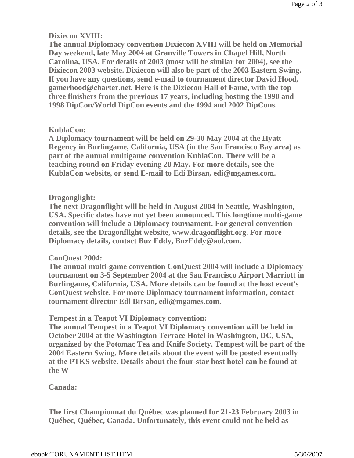### **Dixiecon XVIII:**

**The annual Diplomacy convention Dixiecon XVIII will be held on Memorial Day weekend, late May 2004 at Granville Towers in Chapel Hill, North Carolina, USA. For details of 2003 (most will be similar for 2004), see the Dixiecon 2003 website. Dixiecon will also be part of the 2003 Eastern Swing. If you have any questions, send e-mail to tournament director David Hood, gamerhood@charter.net. Here is the Dixiecon Hall of Fame, with the top three finishers from the previous 17 years, including hosting the 1990 and 1998 DipCon/World DipCon events and the 1994 and 2002 DipCons.** 

### **KublaCon:**

**A Diplomacy tournament will be held on 29-30 May 2004 at the Hyatt Regency in Burlingame, California, USA (in the San Francisco Bay area) as part of the annual multigame convention KublaCon. There will be a teaching round on Friday evening 28 May. For more details, see the KublaCon website, or send E-mail to Edi Birsan, edi@mgames.com.** 

### **Dragonglight:**

**The next Dragonflight will be held in August 2004 in Seattle, Washington, USA. Specific dates have not yet been announced. This longtime multi-game convention will include a Diplomacy tournament. For general convention details, see the Dragonflight website, www.dragonflight.org. For more Diplomacy details, contact Buz Eddy, BuzEddy@aol.com.** 

### **ConQuest 2004:**

**The annual multi-game convention ConQuest 2004 will include a Diplomacy tournament on 3-5 September 2004 at the San Francisco Airport Marriott in Burlingame, California, USA. More details can be found at the host event's ConQuest website. For more Diplomacy tournament information, contact tournament director Edi Birsan, edi@mgames.com.** 

### **Tempest in a Teapot VI Diplomacy convention:**

**The annual Tempest in a Teapot VI Diplomacy convention will be held in October 2004 at the Washington Terrace Hotel in Washington, DC, USA, organized by the Potomac Tea and Knife Society. Tempest will be part of the 2004 Eastern Swing. More details about the event will be posted eventually at the PTKS website. Details about the four-star host hotel can be found at the W**

### **Canada:**

**The first Championnat du Québec was planned for 21-23 February 2003 in Québec, Québec, Canada. Unfortunately, this event could not be held as**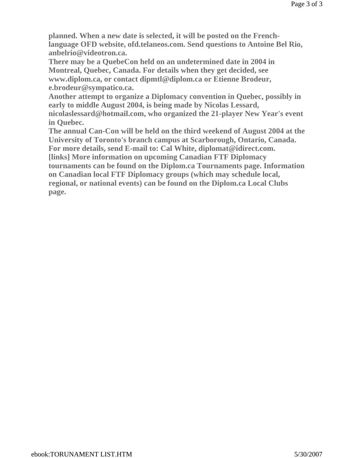**planned. When a new date is selected, it will be posted on the Frenchlanguage OFD website, ofd.telaneos.com. Send questions to Antoine Bel Rio, anbelrio@videotron.ca.** 

**There may be a QuebeCon held on an undetermined date in 2004 in Montreal, Quebec, Canada. For details when they get decided, see www.diplom.ca, or contact dipmtl@diplom.ca or Etienne Brodeur, e.brodeur@sympatico.ca.** 

**Another attempt to organize a Diplomacy convention in Quebec, possibly in early to middle August 2004, is being made by Nicolas Lessard,** 

**nicolaslessard@hotmail.com, who organized the 21-player New Year's event in Quebec.** 

**The annual Can-Con will be held on the third weekend of August 2004 at the University of Toronto's branch campus at Scarborough, Ontario, Canada. For more details, send E-mail to: Cal White, diplomat@idirect.com.** 

**[links] More information on upcoming Canadian FTF Diplomacy** 

**tournaments can be found on the Diplom.ca Tournaments page. Information on Canadian local FTF Diplomacy groups (which may schedule local, regional, or national events) can be found on the Diplom.ca Local Clubs page.**